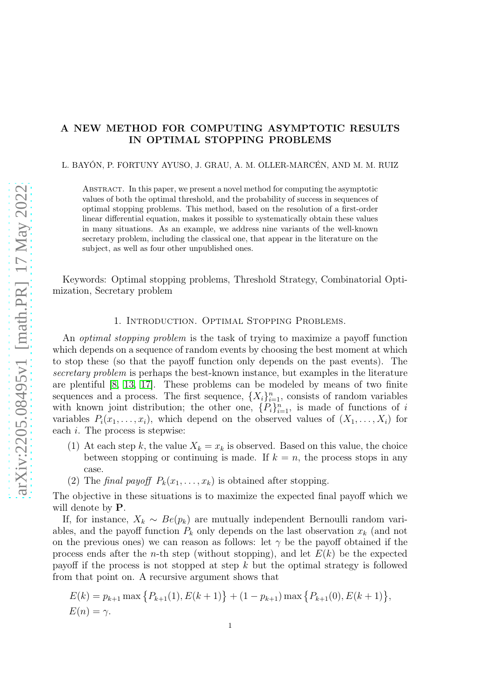# A NEW METHOD FOR COMPUTING ASYMPTOTIC RESULTS IN OPTIMAL STOPPING PROBLEMS

L. BAYÓN, P. FORTUNY AYUSO, J. GRAU, A. M. OLLER-MARCÉN, AND M. M. RUIZ

Abstract. In this paper, we present a novel method for computing the asymptotic values of both the optimal threshold, and the probability of success in sequences of optimal stopping problems. This method, based on the resolution of a first-order linear differential equation, makes it possible to systematically obtain these values in many situations. As an example, we address nine variants of the well-known secretary problem, including the classical one, that appear in the literature on the subject, as well as four other unpublished ones.

Keywords: Optimal stopping problems, Threshold Strategy, Combinatorial Optimization, Secretary problem

# 1. Introduction. Optimal Stopping Problems.

An optimal stopping problem is the task of trying to maximize a payoff function which depends on a sequence of random events by choosing the best moment at which to stop these (so that the payoff function only depends on the past events). The secretary problem is perhaps the best-known instance, but examples in the literature are plentiful [\[8,](#page-28-0) [13,](#page-29-0) [17\]](#page-29-1). These problems can be modeled by means of two finite sequences and a process. The first sequence,  $\{X_i\}_{i=1}^n$ , consists of random variables with known joint distribution; the other one,  $\{P_i\}_{i=1}^n$ , is made of functions of i variables  $P_i(x_1, \ldots, x_i)$ , which depend on the observed values of  $(X_1, \ldots, X_i)$  for each  $i$ . The process is stepwise:

- (1) At each step k, the value  $X_k = x_k$  is observed. Based on this value, the choice between stopping or continuing is made. If  $k = n$ , the process stops in any case.
- (2) The final payoff  $P_k(x_1, \ldots, x_k)$  is obtained after stopping.

The objective in these situations is to maximize the expected final payoff which we will denote by  $P$ .

If, for instance,  $X_k \sim Be(p_k)$  are mutually independent Bernoulli random variables, and the payoff function  $P_k$  only depends on the last observation  $x_k$  (and not on the previous ones) we can reason as follows: let  $\gamma$  be the payoff obtained if the process ends after the *n*-th step (without stopping), and let  $E(k)$  be the expected payoff if the process is not stopped at step  $k$  but the optimal strategy is followed from that point on. A recursive argument shows that

$$
E(k) = p_{k+1} \max \{ P_{k+1}(1), E(k+1) \} + (1 - p_{k+1}) \max \{ P_{k+1}(0), E(k+1) \},
$$
  

$$
E(n) = \gamma.
$$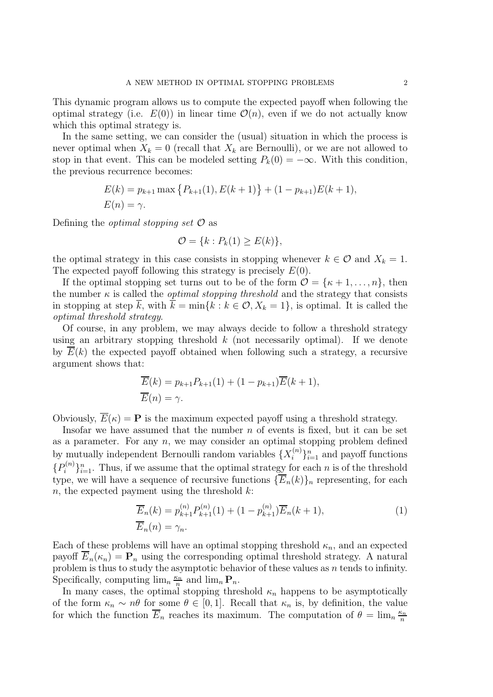This dynamic program allows us to compute the expected payoff when following the optimal strategy (i.e.  $E(0)$ ) in linear time  $\mathcal{O}(n)$ , even if we do not actually know which this optimal strategy is.

In the same setting, we can consider the (usual) situation in which the process is never optimal when  $X_k = 0$  (recall that  $X_k$  are Bernoulli), or we are not allowed to stop in that event. This can be modeled setting  $P_k(0) = -\infty$ . With this condition, the previous recurrence becomes:

$$
E(k) = p_{k+1} \max \{ P_{k+1}(1), E(k+1) \} + (1 - p_{k+1}) E(k+1),
$$
  

$$
E(n) = \gamma.
$$

Defining the *optimal stopping set*  $\mathcal O$  as

$$
\mathcal{O} = \{k : P_k(1) \ge E(k)\},\
$$

the optimal strategy in this case consists in stopping whenever  $k \in \mathcal{O}$  and  $X_k = 1$ . The expected payoff following this strategy is precisely  $E(0)$ .

If the optimal stopping set turns out to be of the form  $\mathcal{O} = {\kappa + 1, ..., n}$ , then the number  $\kappa$  is called the *optimal stopping threshold* and the strategy that consists in stopping at step  $\overline{k}$ , with  $\overline{k} = \min\{k : k \in \mathcal{O}, X_k = 1\}$ , is optimal. It is called the optimal threshold strategy.

Of course, in any problem, we may always decide to follow a threshold strategy using an arbitrary stopping threshold  $k$  (not necessarily optimal). If we denote by  $\overline{E}(k)$  the expected payoff obtained when following such a strategy, a recursive argument shows that:

$$
\overline{E}(k) = p_{k+1}P_{k+1}(1) + (1 - p_{k+1})\overline{E}(k+1),
$$
  

$$
\overline{E}(n) = \gamma.
$$

Obviously,  $\overline{E}(\kappa) = \mathbf{P}$  is the maximum expected payoff using a threshold strategy.

Insofar we have assumed that the number  $n$  of events is fixed, but it can be set as a parameter. For any  $n$ , we may consider an optimal stopping problem defined by mutually independent Bernoulli random variables  $\{X_i^{(n)}\}$  $\binom{n}{i}$ <sub> $i=1$ </sub> and payoff functions  $\{P_i^{(n)}\}$  $\{e^{(n)}\}_{n=1}^n$ . Thus, if we assume that the optimal strategy for each *n* is of the threshold type, we will have a sequence of recursive functions  $\{\overline{E}_n(k)\}_n$  representing, for each n, the expected payment using the threshold  $k$ :

<span id="page-1-0"></span>
$$
\overline{E}_n(k) = p_{k+1}^{(n)} P_{k+1}^{(n)}(1) + (1 - p_{k+1}^{(n)}) \overline{E}_n(k+1),
$$
\n
$$
\overline{E}_n(n) = \gamma_n.
$$
\n(1)

Each of these problems will have an optimal stopping threshold  $\kappa_n$ , and an expected payoff  $\overline{E}_n(\kappa_n) = \mathbf{P}_n$  using the corresponding optimal threshold strategy. A natural problem is thus to study the asymptotic behavior of these values as  $n$  tends to infinity. Specifically, computing  $\lim_{n} \frac{\kappa_n}{n}$  $\frac{\epsilon_n}{n}$  and  $\lim_n \mathbf{P}_n$ .

In many cases, the optimal stopping threshold  $\kappa_n$  happens to be asymptotically of the form  $\kappa_n \sim n\theta$  for some  $\theta \in [0,1]$ . Recall that  $\kappa_n$  is, by definition, the value for which the function  $\overline{E}_n$  reaches its maximum. The computation of  $\theta = \lim_n \frac{\kappa_n}{n}$ n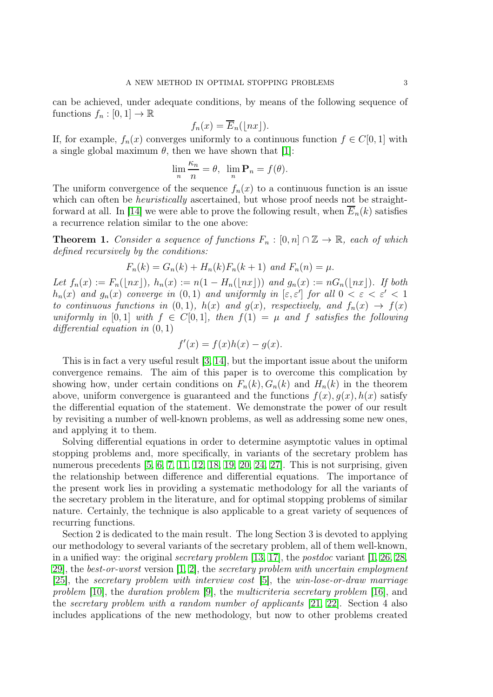can be achieved, under adequate conditions, by means of the following sequence of functions  $f_n : [0,1] \to \mathbb{R}$ 

$$
f_n(x) = \overline{E}_n(\lfloor nx \rfloor).
$$

If, for example,  $f_n(x)$  converges uniformly to a continuous function  $f \in C[0, 1]$  with a single global maximum  $\theta$ , then we have shown that [\[1\]](#page-28-1):

$$
\lim_{n} \frac{\kappa_n}{n} = \theta, \ \ \lim_{n} \mathbf{P}_n = f(\theta).
$$

The uniform convergence of the sequence  $f_n(x)$  to a continuous function is an issue which can often be *heuristically* ascertained, but whose proof needs not be straight-forward at all. In [\[14\]](#page-29-2) we were able to prove the following result, when  $E_n(k)$  satisfies a recurrence relation similar to the one above:

<span id="page-2-0"></span>**Theorem 1.** Consider a sequence of functions  $F_n : [0, n] \cap \mathbb{Z} \to \mathbb{R}$ , each of which defined recursively by the conditions:

$$
F_n(k) = G_n(k) + H_n(k)F_n(k+1)
$$
 and  $F_n(n) = \mu$ .

Let  $f_n(x) := F_n(\lfloor nx \rfloor), h_n(x) := n(1 - H_n(\lfloor nx \rfloor))$  and  $g_n(x) := nG_n(\lfloor nx \rfloor)$ . If both  $h_n(x)$  and  $g_n(x)$  converge in  $(0,1)$  and uniformly in  $[\varepsilon, \varepsilon']$  for all  $0 < \varepsilon < \varepsilon' < 1$ to continuous functions in (0,1),  $h(x)$  and  $g(x)$ , respectively, and  $f_n(x) \rightarrow f(x)$ uniformly in [0,1] with  $f \in C[0, 1]$ , then  $f(1) = \mu$  and f satisfies the following differential equation in  $(0, 1)$ 

$$
f'(x) = f(x)h(x) - g(x).
$$

This is in fact a very useful result [\[3,](#page-28-2) [14\]](#page-29-2), but the important issue about the uniform convergence remains. The aim of this paper is to overcome this complication by showing how, under certain conditions on  $F_n(k)$ ,  $G_n(k)$  and  $H_n(k)$  in the theorem above, uniform convergence is guaranteed and the functions  $f(x)$ ,  $g(x)$ ,  $h(x)$  satisfy the differential equation of the statement. We demonstrate the power of our result by revisiting a number of well-known problems, as well as addressing some new ones, and applying it to them.

Solving differential equations in order to determine asymptotic values in optimal stopping problems and, more specifically, in variants of the secretary problem has numerous precedents [\[5,](#page-28-3) [6,](#page-28-4) [7,](#page-28-5) [11,](#page-29-3) [12,](#page-29-4) [18,](#page-29-5) [19,](#page-29-6) [20,](#page-29-7) [24,](#page-29-8) [27\]](#page-29-9). This is not surprising, given the relationship between difference and differential equations. The importance of the present work lies in providing a systematic methodology for all the variants of the secretary problem in the literature, and for optimal stopping problems of similar nature. Certainly, the technique is also applicable to a great variety of sequences of recurring functions.

Section 2 is dedicated to the main result. The long Section 3 is devoted to applying our methodology to several variants of the secretary problem, all of them well-known, in a unified way: the original *secretary problem* [\[13,](#page-29-0) [17\]](#page-29-1), the *postdoc* variant [\[1,](#page-28-1) [26,](#page-29-10) [28,](#page-29-11) 29, the best-or-worst version  $[1, 2]$  $[1, 2]$ , the secretary problem with uncertain employment [\[25\]](#page-29-13), the secretary problem with interview cost [\[5\]](#page-28-3), the win-lose-or-draw marriage problem [\[10\]](#page-29-14), the duration problem [\[9\]](#page-29-15), the multicriteria secretary problem [\[16\]](#page-29-16), and the secretary problem with a random number of applicants  $[21, 22]$  $[21, 22]$ . Section 4 also includes applications of the new methodology, but now to other problems created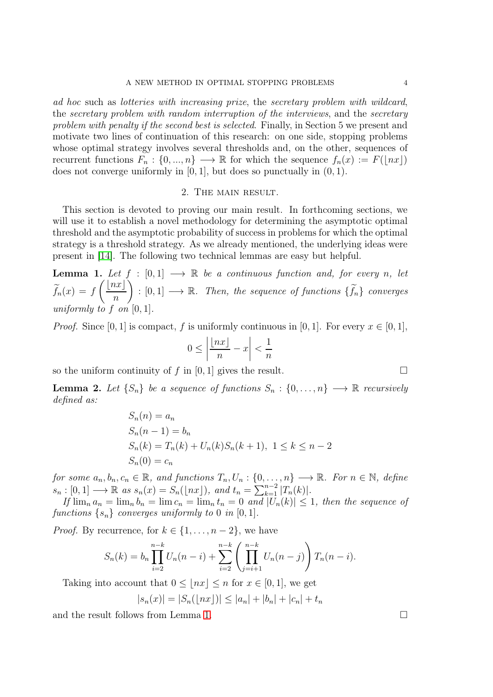ad hoc such as lotteries with increasing prize, the secretary problem with wildcard, the secretary problem with random interruption of the interviews, and the secretary problem with penalty if the second best is selected. Finally, in Section 5 we present and motivate two lines of continuation of this research: on one side, stopping problems whose optimal strategy involves several thresholds and, on the other, sequences of recurrent functions  $F_n : \{0, ..., n\} \longrightarrow \mathbb{R}$  for which the sequence  $f_n(x) := F(\lfloor nx \rfloor)$ does not converge uniformly in  $[0, 1]$ , but does so punctually in  $(0, 1)$ .

## 2. The main result.

This section is devoted to proving our main result. In forthcoming sections, we will use it to establish a novel methodology for determining the asymptotic optimal threshold and the asymptotic probability of success in problems for which the optimal strategy is a threshold strategy. As we already mentioned, the underlying ideas were present in [\[14\]](#page-29-2). The following two technical lemmas are easy but helpful.

<span id="page-3-0"></span>**Lemma 1.** Let  $f : [0,1] \longrightarrow \mathbb{R}$  be a continuous function and, for every n, let  $f_n(x) = f$  $\left(\underline{lnx}\right)$ n  $\Bigg): [0,1] \longrightarrow \mathbb{R}$ . Then, the sequence of functions  $\{\widetilde{f}_n\}$  converges uniformly to f on  $[0, 1]$ .

*Proof.* Since [0, 1] is compact, f is uniformly continuous in [0, 1]. For every  $x \in [0, 1]$ ,

$$
0\leq \left|\frac{\lfloor nx\rfloor}{n}-x\right|<\frac{1}{n}
$$

so the uniform continuity of  $f$  in [0, 1] gives the result.

<span id="page-3-1"></span>**Lemma 2.** Let  $\{S_n\}$  be a sequence of functions  $S_n : \{0, \ldots, n\} \longrightarrow \mathbb{R}$  recursively defined as:

$$
S_n(n) = a_n
$$
  
\n
$$
S_n(n-1) = b_n
$$
  
\n
$$
S_n(k) = T_n(k) + U_n(k)S_n(k+1), \ 1 \le k \le n-2
$$
  
\n
$$
S_n(0) = c_n
$$

for some  $a_n, b_n, c_n \in \mathbb{R}$ , and functions  $T_n, U_n: \{0, \ldots, n\} \longrightarrow \mathbb{R}$ . For  $n \in \mathbb{N}$ , define  $s_n : [0, 1] \longrightarrow \mathbb{R}$  as  $s_n(x) = S_n(\lfloor nx \rfloor)$ , and  $t_n = \sum_{k=1}^{n-2} |T_n(k)|$ .

If  $\lim_{n} a_n = \lim_{n} b_n = \lim_{n} c_n = \lim_{n} t_n = 0$  and  $|U_n(k)| \leq 1$ , then the sequence of functions  $\{s_n\}$  converges uniformly to 0 in [0, 1].

*Proof.* By recurrence, for  $k \in \{1, \ldots, n-2\}$ , we have

$$
S_n(k) = b_n \prod_{i=2}^{n-k} U_n(n-i) + \sum_{i=2}^{n-k} \left( \prod_{j=i+1}^{n-k} U_n(n-j) \right) T_n(n-i).
$$

Taking into account that  $0 \leq |nx| \leq n$  for  $x \in [0,1]$ , we get

$$
|s_n(x)| = |S_n(\lfloor nx \rfloor)| \le |a_n| + |b_n| + |c_n| + t_n
$$

and the result follows from Lemma [1.](#page-3-0)

$$
\Box
$$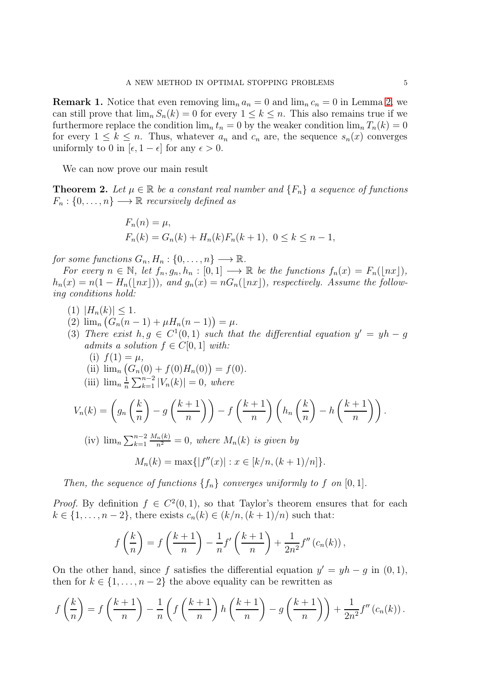<span id="page-4-0"></span>**Remark 1.** Notice that even removing  $\lim_{n} a_n = 0$  and  $\lim_{n} c_n = 0$  in Lemma [2,](#page-3-1) we can still prove that  $\lim_{n} S_n(k) = 0$  for every  $1 \leq k \leq n$ . This also remains true if we furthermore replace the condition  $\lim_{n} t_n = 0$  by the weaker condition  $\lim_{n} T_n(k) = 0$ for every  $1 \leq k \leq n$ . Thus, whatever  $a_n$  and  $c_n$  are, the sequence  $s_n(x)$  converges uniformly to 0 in  $[\epsilon, 1 - \epsilon]$  for any  $\epsilon > 0$ .

We can now prove our main result

<span id="page-4-1"></span>**Theorem 2.** Let  $\mu \in \mathbb{R}$  be a constant real number and  $\{F_n\}$  a sequence of functions  $F_n: \{0, \ldots, n\} \longrightarrow \mathbb{R}$  recursively defined as

$$
F_n(n) = \mu,
$$
  
\n
$$
F_n(k) = G_n(k) + H_n(k)F_n(k+1), \ 0 \le k \le n-1,
$$

for some functions  $G_n, H_n: \{0, \ldots, n\} \longrightarrow \mathbb{R}$ .

For every  $n \in \mathbb{N}$ , let  $f_n, g_n, h_n : [0,1] \longrightarrow \mathbb{R}$  be the functions  $f_n(x) = F_n(\lfloor nx \rfloor)$ ,  $h_n(x) = n(1 - H_n(\lfloor nx \rfloor)),$  and  $g_n(x) = nG_n(\lfloor nx \rfloor)$ , respectively. Assume the following conditions hold:

- (1)  $|H_n(k)| \leq 1$ .
- (2)  $\lim_{n} (G_n(n-1) + \mu H_n(n-1)) = \mu.$
- (3) There exist  $h, g \in C^1(0, 1)$  such that the differential equation  $y' = yh g$ admits a solution  $f \in C[0, 1]$  with:
	- (i)  $f(1) = \mu$ ,

(ii) 
$$
\lim_{n} (G_n(0) + f(0)H_n(0)) = f(0).
$$

(iii)  $\lim_{n} \frac{1}{n}$  $\frac{1}{n}\sum_{k=1}^{n-2} |V_n(k)| = 0$ , where

$$
V_n(k) = \left(g_n\left(\frac{k}{n}\right) - g\left(\frac{k+1}{n}\right)\right) - f\left(\frac{k+1}{n}\right)\left(h_n\left(\frac{k}{n}\right) - h\left(\frac{k+1}{n}\right)\right).
$$

(iv) 
$$
\lim_{n \to \infty} \sum_{k=1}^{n-2} \frac{M_n(k)}{n^2} = 0
$$
, where  $M_n(k)$  is given by

$$
M_n(k) = \max\{|f''(x)| : x \in [k/n, (k+1)/n]\}.
$$

Then, the sequence of functions  $\{f_n\}$  converges uniformly to f on [0, 1].

*Proof.* By definition  $f \in C^2(0,1)$ , so that Taylor's theorem ensures that for each  $k \in \{1, \ldots, n-2\}$ , there exists  $c_n(k) \in (k/n, (k+1)/n)$  such that:

$$
f\left(\frac{k}{n}\right) = f\left(\frac{k+1}{n}\right) - \frac{1}{n}f'\left(\frac{k+1}{n}\right) + \frac{1}{2n^2}f''\left(c_n(k)\right),
$$

On the other hand, since f satisfies the differential equation  $y' = yh - g$  in  $(0, 1)$ , then for  $k \in \{1, \ldots, n-2\}$  the above equality can be rewritten as

$$
f\left(\frac{k}{n}\right) = f\left(\frac{k+1}{n}\right) - \frac{1}{n}\left(f\left(\frac{k+1}{n}\right)h\left(\frac{k+1}{n}\right) - g\left(\frac{k+1}{n}\right)\right) + \frac{1}{2n^2}f''\left(c_n(k)\right).
$$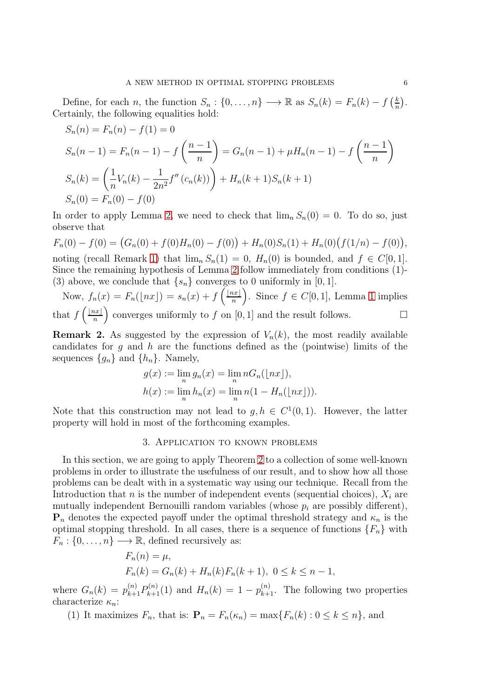Define, for each n, the function  $S_n: \{0, \ldots, n\} \longrightarrow \mathbb{R}$  as  $S_n(k) = F_n(k) - f\left(\frac{k}{n}\right)$  $\frac{k}{n}$ . Certainly, the following equalities hold:

$$
S_n(n) = F_n(n) - f(1) = 0
$$
  
\n
$$
S_n(n-1) = F_n(n-1) - f\left(\frac{n-1}{n}\right) = G_n(n-1) + \mu H_n(n-1) - f\left(\frac{n-1}{n}\right)
$$
  
\n
$$
S_n(k) = \left(\frac{1}{n}V_n(k) - \frac{1}{2n^2}f''(c_n(k))\right) + H_n(k+1)S_n(k+1)
$$
  
\n
$$
S_n(0) = F_n(0) - f(0)
$$

In order to apply Lemma [2,](#page-3-1) we need to check that  $\lim_{n} S_n(0) = 0$ . To do so, just observe that

 $F_n(0) - f(0) = (G_n(0) + f(0)H_n(0) - f(0)) + H_n(0)S_n(1) + H_n(0)(f(1/n) - f(0)),$ noting (recall Remark [1\)](#page-4-0) that  $\lim_{n} S_n(1) = 0$ ,  $H_n(0)$  is bounded, and  $f \in C[0,1]$ . Since the remaining hypothesis of Lemma [2](#page-3-1) follow immediately from conditions (1)- (3) above, we conclude that  $\{s_n\}$  converges to 0 uniformly in [0, 1].

Now,  $f_n(x) = F_n(\lfloor nx \rfloor) = s_n(x) + f\left(\frac{\lfloor nx \rfloor}{n}\right)$ n ). Since  $f \in C[0,1]$ , Lemma [1](#page-3-0) implies that  $f\left(\frac{\lfloor nx\rfloor}{n}\right)$ n ) converges uniformly to f on [0, 1] and the result follows.  $\Box$ 

<span id="page-5-0"></span>**Remark 2.** As suggested by the expression of  $V_n(k)$ , the most readily available candidates for  $g$  and  $h$  are the functions defined as the (pointwise) limits of the sequences  $\{g_n\}$  and  $\{h_n\}$ . Namely,

$$
g(x) := \lim_{n} g_n(x) = \lim_{n} nG_n(\lfloor nx \rfloor),
$$
  

$$
h(x) := \lim_{n} h_n(x) = \lim_{n} n(1 - H_n(\lfloor nx \rfloor)).
$$

Note that this construction may not lead to  $g, h \in C^1(0,1)$ . However, the latter property will hold in most of the forthcoming examples.

## 3. Application to known problems

In this section, we are going to apply Theorem [2](#page-4-1) to a collection of some well-known problems in order to illustrate the usefulness of our result, and to show how all those problems can be dealt with in a systematic way using our technique. Recall from the Introduction that n is the number of independent events (sequential choices),  $X_i$  are mutually independent Bernouilli random variables (whose  $p_i$  are possibly different),  $\mathbf{P}_n$  denotes the expected payoff under the optimal threshold strategy and  $\kappa_n$  is the optimal stopping threshold. In all cases, there is a sequence of functions  $\{F_n\}$  with  $F_n: \{0, \ldots, n\} \longrightarrow \mathbb{R}$ , defined recursively as:

$$
F_n(n) = \mu,
$$
  
\n
$$
F_n(k) = G_n(k) + H_n(k)F_n(k+1), \ 0 \le k \le n-1,
$$

where  $G_n(k) = p_{k+1}^{(n)} P_{k+1}^{(n)}(1)$  and  $H_n(k) = 1 - p_{k+1}^{(n)}$ . The following two properties characterize  $\kappa_n$ :

(1) It maximizes  $F_n$ , that is:  $\mathbf{P}_n = F_n(\kappa_n) = \max\{F_n(k) : 0 \le k \le n\}$ , and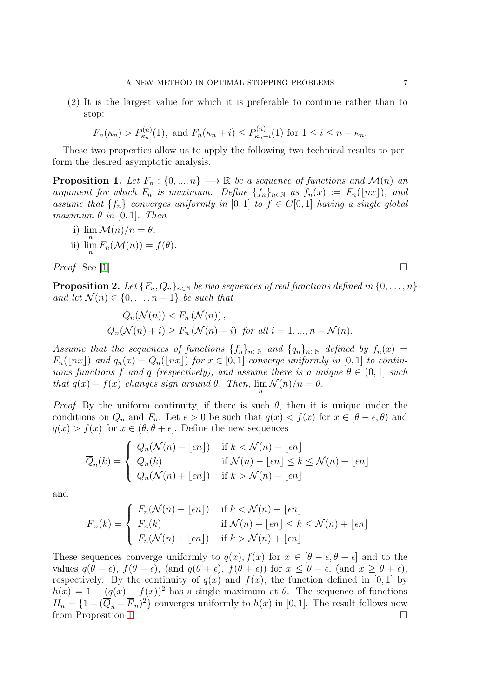(2) It is the largest value for which it is preferable to continue rather than to stop:

$$
F_n(\kappa_n) > P_{\kappa_n}^{(n)}(1)
$$
, and  $F_n(\kappa_n + i) \le P_{\kappa_n + i}^{(n)}(1)$  for  $1 \le i \le n - \kappa_n$ .

These two properties allow us to apply the following two technical results to perform the desired asymptotic analysis.

<span id="page-6-0"></span>**Proposition 1.** Let  $F_n: \{0, ..., n\} \longrightarrow \mathbb{R}$  be a sequence of functions and  $\mathcal{M}(n)$  and argument for which  $F_n$  is maximum. Define  $\{f_n\}_{n\in\mathbb{N}}$  as  $f_n(x) := F_n(\lfloor nx \rfloor)$ , and assume that  $\{f_n\}$  converges uniformly in [0,1] to  $f \in C[0, 1]$  having a single global maximum  $\theta$  in [0, 1]. Then

i)  $\lim_{n} \mathcal{M}(n)/n = \theta$ . ii)  $\lim_{n} F_n(\mathcal{M}(n)) = f(\theta).$ 

*Proof.* See [\[1\]](#page-28-1).

<span id="page-6-1"></span>**Proposition 2.** Let  ${F_n, Q_n}_{n\in\mathbb{N}}$  be two sequences of real functions defined in  ${0, \ldots, n}$ and let  $\mathcal{N}(n) \in \{0, \ldots, n-1\}$  be such that

$$
Q_n(\mathcal{N}(n)) < F_n(\mathcal{N}(n)),
$$
\n
$$
Q_n(\mathcal{N}(n) + i) \ge F_n(\mathcal{N}(n) + i) \quad \text{for all } i = 1, \dots, n - \mathcal{N}(n).
$$

Assume that the sequences of functions  $\{f_n\}_{n\in\mathbb{N}}$  and  $\{q_n\}_{n\in\mathbb{N}}$  defined by  $f_n(x) =$  $F_n(\lfloor nx \rfloor)$  and  $q_n(x) = Q_n(\lfloor nx \rfloor)$  for  $x \in [0,1]$  converge uniformly in [0, 1] to continuous functions f and q (respectively), and assume there is a unique  $\theta \in (0,1]$  such that  $q(x) - f(x)$  changes sign around  $\theta$ . Then,  $\lim_{n} \mathcal{N}(n)/n = \theta$ .

*Proof.* By the uniform continuity, if there is such  $\theta$ , then it is unique under the conditions on  $Q_n$  and  $F_n$ . Let  $\epsilon > 0$  be such that  $q(x) < f(x)$  for  $x \in [\theta - \epsilon, \theta)$  and  $q(x) > f(x)$  for  $x \in (\theta, \theta + \epsilon]$ . Define the new sequences

$$
\overline{Q}_n(k) = \begin{cases} Q_n(\mathcal{N}(n) - \lfloor \epsilon n \rfloor) & \text{if } k < \mathcal{N}(n) - \lfloor \epsilon n \rfloor \\ Q_n(k) & \text{if } \mathcal{N}(n) - \lfloor \epsilon n \rfloor \le k \le \mathcal{N}(n) + \lfloor \epsilon n \rfloor \\ Q_n(\mathcal{N}(n) + \lfloor \epsilon n \rfloor) & \text{if } k > \mathcal{N}(n) + \lfloor \epsilon n \rfloor \end{cases}
$$

and

$$
\overline{F}_n(k) = \begin{cases}\nF_n(\mathcal{N}(n) - \lfloor \epsilon n \rfloor) & \text{if } k < \mathcal{N}(n) - \lfloor \epsilon n \rfloor \\
F_n(k) & \text{if } \mathcal{N}(n) - \lfloor \epsilon n \rfloor \le k \le \mathcal{N}(n) + \lfloor \epsilon n \rfloor \\
F_n(\mathcal{N}(n) + \lfloor \epsilon n \rfloor) & \text{if } k > \mathcal{N}(n) + \lfloor \epsilon n \rfloor\n\end{cases}
$$

These sequences converge uniformly to  $q(x)$ ,  $f(x)$  for  $x \in [\theta - \epsilon, \theta + \epsilon]$  and to the values  $q(\theta - \epsilon)$ ,  $f(\theta - \epsilon)$ , (and  $q(\theta + \epsilon)$ ,  $f(\theta + \epsilon)$ ) for  $x \leq \theta - \epsilon$ , (and  $x \geq \theta + \epsilon$ ), respectively. By the continuity of  $q(x)$  and  $f(x)$ , the function defined in [0, 1] by  $h(x) = 1 - (q(x) - f(x))^2$  has a single maximum at  $\theta$ . The sequence of functions  $H_n = \{1 - (\overline{Q}_n - \overline{F}_n)^2\}$  converges uniformly to  $h(x)$  in [0, 1]. The result follows now from Proposition [1.](#page-6-0)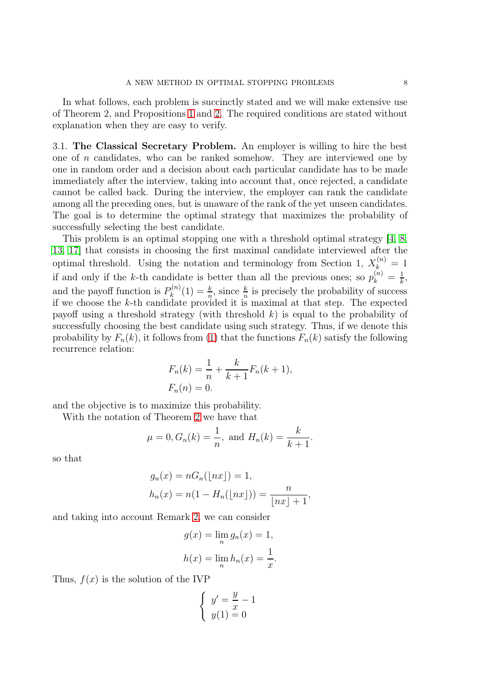In what follows, each problem is succinctly stated and we will make extensive use of Theorem 2, and Propositions [1](#page-6-0) and [2.](#page-6-1) The required conditions are stated without explanation when they are easy to verify.

3.1. The Classical Secretary Problem. An employer is willing to hire the best one of  $n$  candidates, who can be ranked somehow. They are interviewed one by one in random order and a decision about each particular candidate has to be made immediately after the interview, taking into account that, once rejected, a candidate cannot be called back. During the interview, the employer can rank the candidate among all the preceding ones, but is unaware of the rank of the yet unseen candidates. The goal is to determine the optimal strategy that maximizes the probability of successfully selecting the best candidate.

This problem is an optimal stopping one with a threshold optimal strategy [\[4,](#page-28-7) [8,](#page-28-0) [13,](#page-29-0) [17\]](#page-29-1) that consists in choosing the first maximal candidate interviewed after the optimal threshold. Using the notation and terminology from Section 1,  $X_k^{(n)} = 1$ if and only if the k-th candidate is better than all the previous ones; so  $p_k^{(n)} = \frac{1}{k}$  $\frac{1}{k}$ , and the payoff function is  $P_k^{(n)}$  $\lambda_k^{(n)}(1) = \frac{k}{n}$ , since  $\frac{k}{n}$  is precisely the probability of success if we choose the k-th candidate provided it is maximal at that step. The expected payoff using a threshold strategy (with threshold  $k$ ) is equal to the probability of successfully choosing the best candidate using such strategy. Thus, if we denote this probability by  $F_n(k)$ , it follows from [\(1\)](#page-1-0) that the functions  $F_n(k)$  satisfy the following recurrence relation:

$$
F_n(k) = \frac{1}{n} + \frac{k}{k+1} F_n(k+1),
$$
  

$$
F_n(n) = 0.
$$

and the objective is to maximize this probability.

With the notation of Theorem [2](#page-4-1) we have that

$$
\mu = 0, G_n(k) = \frac{1}{n}
$$
, and  $H_n(k) = \frac{k}{k+1}$ .

so that

$$
g_n(x) = nG_n(\lfloor nx \rfloor) = 1,
$$
  

$$
h_n(x) = n(1 - H_n(\lfloor nx \rfloor)) = \frac{n}{\lfloor nx \rfloor + 1},
$$

and taking into account Remark [2,](#page-5-0) we can consider

$$
g(x) = \lim_{n} g_n(x) = 1,
$$
  

$$
h(x) = \lim_{n} h_n(x) = \frac{1}{x}.
$$

Thus,  $f(x)$  is the solution of the IVP

$$
\begin{cases}\ny' = \frac{y}{x} - 1 \\
y(1) = 0\n\end{cases}
$$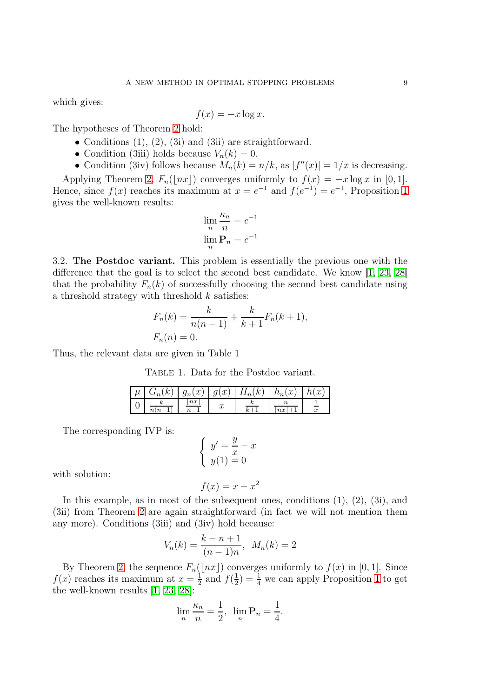which gives:

$$
f(x) = -x \log x.
$$

The hypotheses of Theorem [2](#page-4-1) hold:

- Conditions  $(1)$ ,  $(2)$ ,  $(3i)$  and  $(3ii)$  are straightforward.
- Condition (3iii) holds because  $V_n(k) = 0$ .
- Condition (3iv) follows because  $M_n(k) = n/k$ , as  $|f''(x)| = 1/x$  is decreasing.

Applying Theorem [2,](#page-4-1)  $F_n(\vert nx\vert)$  converges uniformly to  $f(x) = -x \log x$  in [0, 1]. Hence, since  $f(x)$  reaches its maximum at  $x = e^{-1}$  and  $f(e^{-1}) = e^{-1}$ , Proposition [1](#page-6-0) gives the well-known results:

$$
\lim_{n} \frac{\kappa_n}{n} = e^{-1}
$$

$$
\lim_{n} \mathbf{P}_n = e^{-1}
$$

3.2. The Postdoc variant. This problem is essentially the previous one with the difference that the goal is to select the second best candidate. We know [\[1,](#page-28-1) [23,](#page-29-19) [28\]](#page-29-11) that the probability  $F_n(k)$  of successfully choosing the second best candidate using a threshold strategy with threshold  $k$  satisfies:

$$
F_n(k) = \frac{k}{n(n-1)} + \frac{k}{k+1} F_n(k+1),
$$
  

$$
F_n(n) = 0.
$$

Thus, the relevant data are given in Table 1

TABLE 1. Data for the Postdoc variant.

| $\boldsymbol{\mu}$ | $\sqrt{ }$ | $\sim$<br>$n_{\eta}$<br>w<br>Y | $\sim$<br>w<br>Y | ₽<br>r<br>$\overline{u}$ | $\sim$<br>$\cdot$ on .<br>$\boldsymbol{\cdot}$ | $\sim$<br>u<br>$\boldsymbol{\mathit{v}}$ |
|--------------------|------------|--------------------------------|------------------|--------------------------|------------------------------------------------|------------------------------------------|
| ັ                  | 1 U        | n x                            | $\sim$<br>w      | 1 U                      | $_{nx}$                                        | u                                        |

The corresponding IVP is:

$$
\begin{cases}\ny' = \frac{y}{x} - x \\
y(1) = 0\n\end{cases}
$$

with solution:

$$
f(x) = x - x^2
$$

In this example, as in most of the subsequent ones, conditions (1), (2), (3i), and (3ii) from Theorem [2](#page-4-1) are again straightforward (in fact we will not mention them any more). Conditions (3iii) and (3iv) hold because:

$$
V_n(k) = \frac{k - n + 1}{(n - 1)n}, \ M_n(k) = 2
$$

By Theorem [2,](#page-4-1) the sequence  $F_n(\lfloor nx \rfloor)$  converges uniformly to  $f(x)$  in [0, 1]. Since  $f(x)$  reaches its maximum at  $x=\frac{1}{2}$  $rac{1}{2}$  and  $f(\frac{1}{2})$  $(\frac{1}{2}) = \frac{1}{4}$  we can apply Proposition [1](#page-6-0) to get the well-known results [\[1,](#page-28-1) [23,](#page-29-19) [28\]](#page-29-11):

$$
\lim_{n} \frac{\kappa_n}{n} = \frac{1}{2}, \ \ \lim_{n} \mathbf{P}_n = \frac{1}{4}.
$$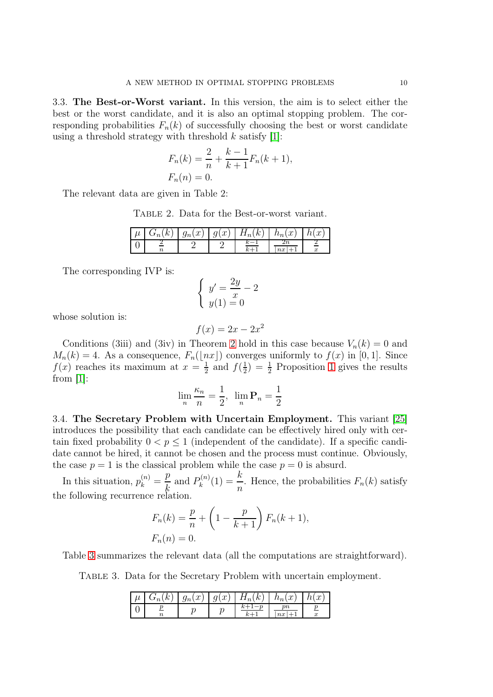3.3. The Best-or-Worst variant. In this version, the aim is to select either the best or the worst candidate, and it is also an optimal stopping problem. The corresponding probabilities  $F_n(k)$  of successfully choosing the best or worst candidate using a threshold strategy with threshold  $k$  satisfy [\[1\]](#page-28-1):

$$
F_n(k) = \frac{2}{n} + \frac{k-1}{k+1} F_n(k+1),
$$
  

$$
F_n(n) = 0.
$$

The relevant data are given in Table 2:

Table 2. Data for the Best-or-worst variant.

| $\mathcal{L}$ | $\mathcal{F}_n(x) \mid g(x)$ | $H_n(k)$ | (x)<br>$n_n$ | $\boldsymbol{x}$<br>It |
|---------------|------------------------------|----------|--------------|------------------------|
|               |                              |          |              | w                      |

The corresponding IVP is:

$$
\begin{cases}\ny' = \frac{2y}{x} - 2 \\
y(1) = 0\n\end{cases}
$$

whose solution is:

$$
f(x) = 2x - 2x^2
$$

Conditions (3iii) and (3iv) in Theorem [2](#page-4-1) hold in this case because  $V_n(k) = 0$  and  $M_n(k) = 4$ . As a consequence,  $F_n(\lfloor nx \rfloor)$  converges uniformly to  $f(x)$  in [0, 1]. Since  $f(x)$  reaches its maximum at  $x=\frac{1}{2}$  $rac{1}{2}$  and  $f(\frac{1}{2})$  $(\frac{1}{2}) = \frac{1}{2}$  Proposition [1](#page-6-0) gives the results from [\[1\]](#page-28-1):

$$
\lim_{n} \frac{\kappa_n}{n} = \frac{1}{2}, \ \lim_{n} \mathbf{P}_n = \frac{1}{2}
$$

3.4. The Secretary Problem with Uncertain Employment. This variant [\[25\]](#page-29-13) introduces the possibility that each candidate can be effectively hired only with certain fixed probability  $0 < p \le 1$  (independent of the candidate). If a specific candidate cannot be hired, it cannot be chosen and the process must continue. Obviously, the case  $p = 1$  is the classical problem while the case  $p = 0$  is absurd.

In this situation,  $p_k^{(n)} =$ p k and  $P_k^{(n)}$  $k^{(n)}(1) = \frac{k}{n}$  $\frac{n}{n}$ . Hence, the probabilities  $F_n(k)$  satisfy the following recurrence relation.

$$
F_n(k) = \frac{p}{n} + \left(1 - \frac{p}{k+1}\right) F_n(k+1),
$$
  

$$
F_n(n) = 0.
$$

Table [3](#page-9-0) summarizes the relevant data (all the computations are straightforward).

Table 3. Data for the Secretary Problem with uncertain employment.

<span id="page-9-0"></span>

| $\mu$ | $\kappa$ | $g_n(x)$ | g(x) | $H_n(k)$ | $h_n(x)$ | $\sim$ |
|-------|----------|----------|------|----------|----------|--------|
|       |          |          |      |          | $_{nx}$  | w      |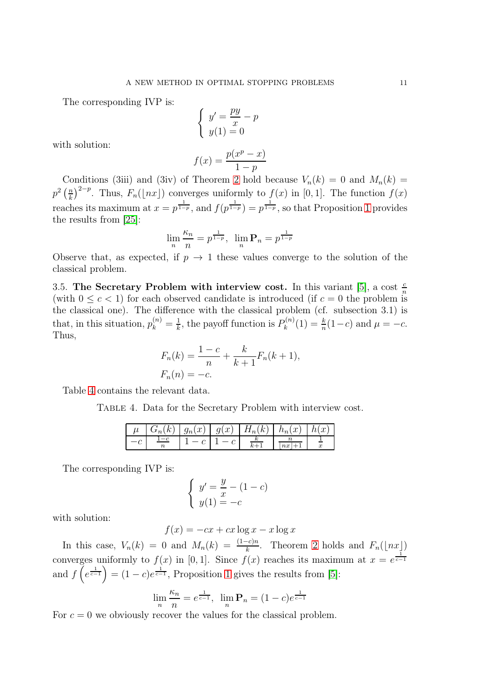The corresponding IVP is:

$$
\begin{cases}\ny' = \frac{py}{x} - p \\
y(1) = 0\n\end{cases}
$$

with solution:

$$
f(x) = \frac{p(x^p - x)}{1 - p}
$$

Conditions (3iii) and (3iv) of Theorem [2](#page-4-1) hold because  $V_n(k) = 0$  and  $M_n(k) =$  $p^2\left(\frac{n}{k}\right)$  $\left(\frac{n}{k}\right)^{2-p}$ . Thus,  $F_n(\lfloor nx \rfloor)$  converges uniformly to  $f(x)$  in [0, 1]. The function  $f(x)$ reaches its maximum at  $x = p^{\frac{1}{1-p}}$ , and  $f(p^{\frac{1}{1-p}}) = p^{\frac{1}{1-p}}$ , so that Proposition [1](#page-6-0) provides the results from [\[25\]](#page-29-13):

$$
\lim_{n} \frac{\kappa_n}{n} = p^{\frac{1}{1-p}}, \ \ \lim_{n} \mathbf{P}_n = p^{\frac{1}{1-p}}
$$

Observe that, as expected, if  $p \to 1$  these values converge to the solution of the classical problem.

3.5. The Secretary Problem with interview cost. In this variant [\[5\]](#page-28-3), a cost  $\frac{c}{n}$ (with  $0 \leq c < 1$ ) for each observed candidate is introduced (if  $c = 0$  the problem is the classical one). The difference with the classical problem (cf. subsection 3.1) is that, in this situation,  $p_k^{(n)} = \frac{1}{k}$  $\frac{1}{k}$ , the payoff function is  $P_k^{(n)}$  $\mu_k^{(n)}(1) = \frac{k}{n}(1-c)$  and  $\mu = -c$ . Thus,

$$
F_n(k) = \frac{1-c}{n} + \frac{k}{k+1} F_n(k+1),
$$
  

$$
F_n(n) = -c.
$$

Table [4](#page-10-0) contains the relevant data.

Table 4. Data for the Secretary Problem with interview cost.

<span id="page-10-0"></span>

| $G_n(k)$                 |  | $g_n(x)   g(x)   H_n(k)$ | $h_n(x)$ | h(x) |
|--------------------------|--|--------------------------|----------|------|
| $\overline{\phantom{a}}$ |  | $\sim$                   | $\it nx$ |      |

The corresponding IVP is:

$$
\begin{cases}\ny' = \frac{y}{x} - (1 - c) \\
y(1) = -c\n\end{cases}
$$

with solution:

$$
f(x) = -cx + cx \log x - x \log x
$$

In this case,  $V_n(k) = 0$  and  $M_n(k) = \frac{(1-c)n}{k}$ . Theorem [2](#page-4-1) holds and  $F_n(\lfloor nx \rfloor)$ converges uniformly to  $f(x)$  in [0, 1]. Since  $f(x)$  reaches its maximum at  $x = e^{\frac{1}{c-1}}$ and  $f\left(e^{\frac{1}{c-1}}\right) = (1-c)e^{\frac{1}{c-1}}$ , Proposition [1](#page-6-0) gives the results from [\[5\]](#page-28-3):

$$
\lim_{n} \frac{\kappa_n}{n} = e^{\frac{1}{c-1}}, \ \lim_{n} \mathbf{P}_n = (1-c)e^{\frac{1}{c-1}}
$$

For  $c = 0$  we obviously recover the values for the classical problem.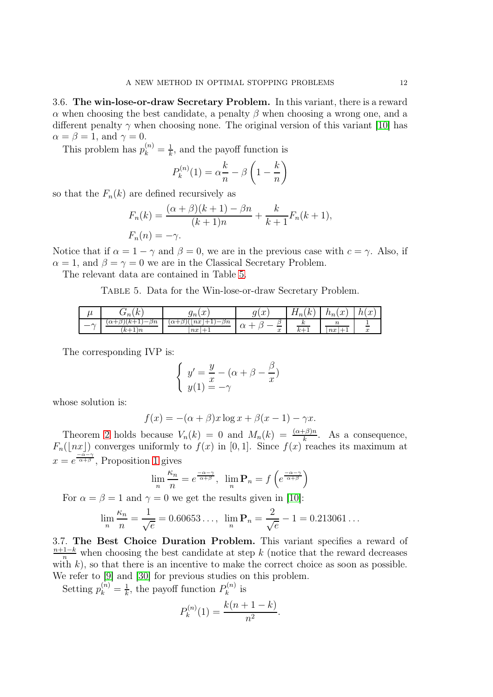3.6. The win-lose-or-draw Secretary Problem. In this variant, there is a reward  $\alpha$  when choosing the best candidate, a penalty  $\beta$  when choosing a wrong one, and a different penalty  $\gamma$  when choosing none. The original version of this variant [\[10\]](#page-29-14) has  $\alpha = \beta = 1$ , and  $\gamma = 0$ .

This problem has  $p_k^{(n)} = \frac{1}{k}$  $\frac{1}{k}$ , and the payoff function is

$$
P_k^{(n)}(1) = \alpha \frac{k}{n} - \beta \left(1 - \frac{k}{n}\right)
$$

so that the  $F_n(k)$  are defined recursively as

$$
F_n(k) = \frac{(\alpha + \beta)(k+1) - \beta n}{(k+1)n} + \frac{k}{k+1} F_n(k+1),
$$
  

$$
F_n(n) = -\gamma.
$$

Notice that if  $\alpha = 1 - \gamma$  and  $\beta = 0$ , we are in the previous case with  $c = \gamma$ . Also, if  $\alpha = 1$ , and  $\beta = \gamma = 0$  we are in the Classical Secretary Problem.

The relevant data are contained in Table [5.](#page-11-0)

<span id="page-11-0"></span>Table 5. Data for the Win-lose-or-draw Secretary Problem.

| u                        | $\sqrt{ }$<br>$\overline{N}$<br>$\,n$<br>◡                         | $\sim$<br>$\Im n$<br>w                                                                                  | $\sim$<br>n<br>u<br>ັ             | $\sqrt{ }$<br>$\mathbf{u}_n$<br>ıv | $\sim$<br>$\mu_n(\mu)$       | $\alpha$<br>w<br>1 U L |
|--------------------------|--------------------------------------------------------------------|---------------------------------------------------------------------------------------------------------|-----------------------------------|------------------------------------|------------------------------|------------------------|
| $\overline{\phantom{a}}$ | . к.<br>$\beta n$<br>$-$<br>$\alpha$ -<br>້<br>ᆠ<br>$-1\,$<br>$k+$ | $\beta n$<br>$\lfloor nx \rfloor$<br>≀( گ/<br>$\alpha +$<br>$-$<br>--<br><b>I</b><br>$\,nx$<br>--<br>л. | $\Omega$<br>u<br>∼<br>$\sim$<br>w | $\mathbf{L}$<br>--<br>ĸ.<br>л.     | ' U<br>n x<br>--<br><b>.</b> | w                      |

The corresponding IVP is:

$$
\begin{cases}\ny' = \frac{y}{x} - (\alpha + \beta - \frac{\beta}{x}) \\
y(1) = -\gamma\n\end{cases}
$$

whose solution is:

$$
f(x) = -(\alpha + \beta)x \log x + \beta(x - 1) - \gamma x.
$$

Theorem [2](#page-4-1) holds because  $V_n(k) = 0$  and  $M_n(k) = \frac{(\alpha + \beta)n}{k}$ . As a consequence,  $F_n(\lfloor nx \rfloor)$  converges uniformly to  $f(x)$  in [0, 1]. Since  $f(x)$  reaches its maximum at  $x = e^{\frac{-\alpha}{\alpha+\beta}},$  Proposition [1](#page-6-0) gives

$$
\lim_{n} \frac{\kappa_n}{n} = e^{\frac{-\alpha - \gamma}{\alpha + \beta}}, \quad \lim_{n} \mathbf{P}_n = f\left(e^{\frac{-\alpha - \gamma}{\alpha + \beta}}\right)
$$

For  $\alpha = \beta = 1$  and  $\gamma = 0$  we get the results given in [\[10\]](#page-29-14):

$$
\lim_{n} \frac{\kappa_n}{n} = \frac{1}{\sqrt{e}} = 0.60653\ldots, \ \ \lim_{n} \mathbf{P}_n = \frac{2}{\sqrt{e}} - 1 = 0.213061\ldots
$$

3.7. The Best Choice Duration Problem. This variant specifies a reward of  $\frac{n+1-k}{n}$  when choosing the best candidate at step k (notice that the reward decreases with  $k$ ), so that there is an incentive to make the correct choice as soon as possible. We refer to [\[9\]](#page-29-15) and [\[30\]](#page-29-20) for previous studies on this problem.

Setting  $p_k^{(n)} = \frac{1}{k}$  $\frac{1}{k}$ , the payoff function  $P_k^{(n)}$  $\boldsymbol{k}^{(n)}$  is

$$
P_k^{(n)}(1) = \frac{k(n+1-k)}{n^2}.
$$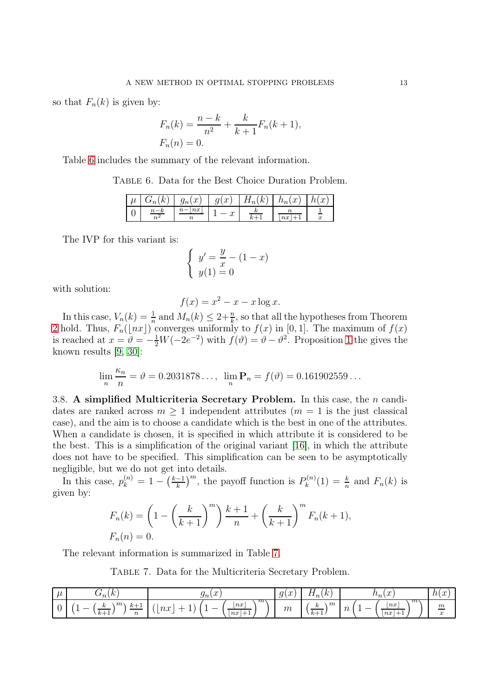so that  $F_n(k)$  is given by:

$$
F_n(k) = \frac{n-k}{n^2} + \frac{k}{k+1} F_n(k+1),
$$
  

$$
F_n(n) = 0.
$$

Table [6](#page-12-0) includes the summary of the relevant information.

Table 6. Data for the Best Choice Duration Problem.

<span id="page-12-0"></span>

| μ | $\sqrt{ }$ | $\sim$<br>$_{\mathit{y}_n}$<br>$\boldsymbol{\cdot}$ | $\sim$<br>У<br>w | $\sim$<br>$\boldsymbol{n}$ | $\alpha$<br>$\iota_n$<br>$\boldsymbol{\cdot}$ | $\sim$<br>.i<br>$\boldsymbol{\mathsf{v}}$ |
|---|------------|-----------------------------------------------------|------------------|----------------------------|-----------------------------------------------|-------------------------------------------|
| ◡ | $\sim$     | n x<br>ı ı                                          | u                | ı.                         | $_{nx}$                                       | w                                         |

The IVP for this variant is:

$$
\begin{cases}\ny' = \frac{y}{x} - (1 - x) \\
y(1) = 0\n\end{cases}
$$

with solution:

$$
f(x) = x^2 - x - x \log x.
$$

In this case,  $V_n(k) = \frac{1}{n}$  and  $M_n(k) \leq 2 + \frac{n}{k}$ , so that all the hypotheses from Theorem [2](#page-4-1) hold. Thus,  $F_n(\lfloor nx \rfloor)$  converges uniformly to  $f(x)$  in  $[0, 1]$ . The maximum of  $f(x)$ is reached at  $x = \vartheta = -\frac{1}{2}W(-2e^{-2})$  with  $f(\vartheta) = \vartheta - \vartheta^2$ . Proposition [1](#page-6-0) the gives the known results [\[9,](#page-29-15) [30\]](#page-29-20):

$$
\lim_{n} \frac{\kappa_n}{n} = \vartheta = 0.2031878..., \lim_{n} \mathbf{P}_n = f(\vartheta) = 0.161902559...
$$

3.8. A simplified Multicriteria Secretary Problem. In this case, the  $n$  candidates are ranked across  $m \geq 1$  independent attributes  $(m = 1$  is the just classical case), and the aim is to choose a candidate which is the best in one of the attributes. When a candidate is chosen, it is specified in which attribute it is considered to be the best. This is a simplification of the original variant [\[16\]](#page-29-16), in which the attribute does not have to be specified. This simplification can be seen to be asymptotically negligible, but we do not get into details.

In this case,  $p_k^{(n)} = 1 - \left(\frac{k-1}{k}\right)$  $\left(\frac{-1}{k}\right)^m$ , the payoff function is  $P_k^{(n)}$  $f_k^{(n)}(1) = \frac{k}{n}$  and  $F_n(k)$  is given by:

$$
F_n(k) = \left(1 - \left(\frac{k}{k+1}\right)^m\right) \frac{k+1}{n} + \left(\frac{k}{k+1}\right)^m F_n(k+1),
$$
  

$$
F_n(n) = 0.
$$

The relevant information is summarized in Table [7.](#page-12-1)

<span id="page-12-1"></span>Table 7. Data for the Multicriteria Secretary Problem.

| $\boldsymbol{\mu}$ | $\mathbf{r}$<br>~<br>$\sqrt{ }$<br>$\sigma_n(\kappa)$                                                                                                                       | $\sim$<br>$S_n(\mathcal{L})$                                                                                                                   | $\mathcal{P}$<br>α<br>ı v<br>◡ | T<br>$\sqrt{ }$<br>. K .<br>11n                        | $\sim$<br>$\mu_n,\mu$                                                                             | h(x)<br>$\sim$                      |
|--------------------|-----------------------------------------------------------------------------------------------------------------------------------------------------------------------------|------------------------------------------------------------------------------------------------------------------------------------------------|--------------------------------|--------------------------------------------------------|---------------------------------------------------------------------------------------------------|-------------------------------------|
|                    | $m_{\rm}$<br>ь.<br>$\sim$<br>$\overline{\phantom{0}}$<br>$\sim$<br>$\mathbf{v}$<br><u>. на т</u><br>$\overline{\phantom{a}}$<br>$k+1$<br>$\sim$<br>$\overline{\phantom{a}}$ | $\pi$<br>$\left\lfloor nx\right\rfloor$<br>$\mathit{nx}$<br>$\overline{\phantom{a}}$<br>--<br>--<br>-<br>nx<br>$\overline{\phantom{0}}$<br>․ ․ | $m\,$                          | $\boldsymbol{m}$<br>$\kappa$<br>$k+$<br>$\overline{1}$ | $\pi$<br>n x<br>$\,n$<br>$\overline{\phantom{a}}$<br><b>.</b><br>$\lfloor nx \rfloor$<br><b>.</b> | $\underline{m}$<br>$\boldsymbol{x}$ |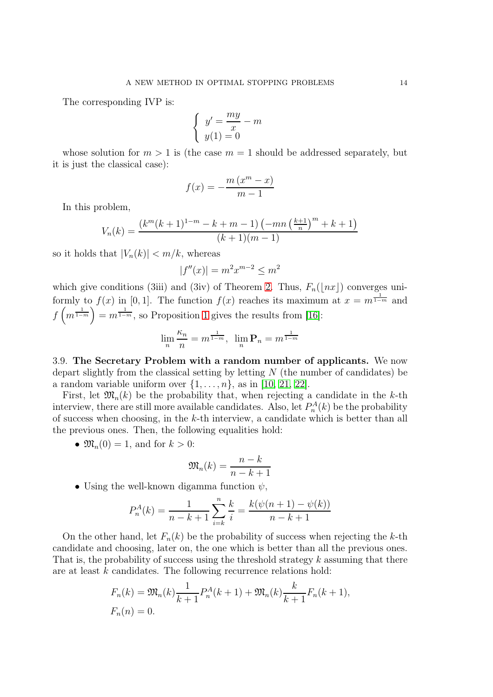The corresponding IVP is:

$$
\begin{cases}\ny' = \frac{my}{x} - m \\
y(1) = 0\n\end{cases}
$$

whose solution for  $m > 1$  is (the case  $m = 1$  should be addressed separately, but it is just the classical case):

$$
f(x) = -\frac{m(x^m - x)}{m - 1}
$$

In this problem,

$$
V_n(k) = \frac{(k^m(k+1)^{1-m} - k + m - 1) (-mn \left(\frac{k+1}{n}\right)^m + k + 1)}{(k+1)(m-1)}
$$

so it holds that  $|V_n(k)| < m/k$ , whereas

$$
|f''(x)| = m^2 x^{m-2} \le m^2
$$

which give conditions (3iii) and (3iv) of Theorem [2.](#page-4-1) Thus,  $F_n(|nx|)$  converges uniformly to  $f(x)$  in [0, 1]. The function  $f(x)$  reaches its maximum at  $x = m^{\frac{1}{1-m}}$  and  $f\left(m^{\frac{1}{1-m}}\right) = m^{\frac{1}{1-m}}$ , so Proposition [1](#page-6-0) gives the results from [\[16\]](#page-29-16):

$$
\lim_{n} \frac{\kappa_n}{n} = m^{\frac{1}{1-m}}, \ \ \lim_{n} \mathbf{P}_n = m^{\frac{1}{1-m}}
$$

3.9. The Secretary Problem with a random number of applicants. We now depart slightly from the classical setting by letting  $N$  (the number of candidates) be a random variable uniform over  $\{1, \ldots, n\}$ , as in [\[10,](#page-29-14) [21,](#page-29-17) [22\]](#page-29-18).

First, let  $\mathfrak{M}_n(k)$  be the probability that, when rejecting a candidate in the k-th interview, there are still more available candidates. Also, let  $P_n^A(k)$  be the probability of success when choosing, in the k-th interview, a candidate which is better than all the previous ones. Then, the following equalities hold:

•  $\mathfrak{M}_n(0) = 1$ , and for  $k > 0$ :

$$
\mathfrak{M}_n(k) = \frac{n-k}{n-k+1}
$$

• Using the well-known digamma function  $\psi$ ,

$$
P_n^A(k) = \frac{1}{n - k + 1} \sum_{i = k}^n \frac{k}{i} = \frac{k(\psi(n + 1) - \psi(k))}{n - k + 1}
$$

On the other hand, let  $F_n(k)$  be the probability of success when rejecting the k-th candidate and choosing, later on, the one which is better than all the previous ones. That is, the probability of success using the threshold strategy  $k$  assuming that there are at least k candidates. The following recurrence relations hold:

$$
F_n(k) = \mathfrak{M}_n(k) \frac{1}{k+1} P_n^A(k+1) + \mathfrak{M}_n(k) \frac{k}{k+1} F_n(k+1),
$$
  

$$
F_n(n) = 0.
$$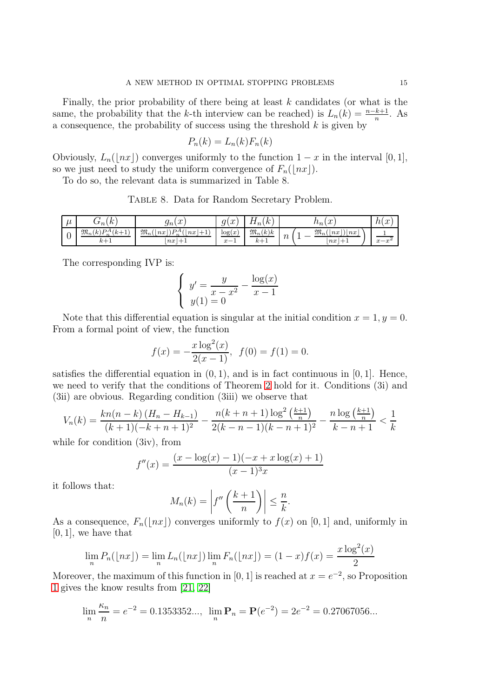Finally, the prior probability of there being at least  $k$  candidates (or what is the same, the probability that the k-th interview can be reached) is  $L_n(k) = \frac{n-k+1}{n}$ . As a consequence, the probability of success using the threshold  $k$  is given by

$$
P_n(k) = L_n(k) F_n(k)
$$

Obviously,  $L_n(\lfloor nx \rfloor)$  converges uniformly to the function  $1 - x$  in the interval  $[0, 1]$ , so we just need to study the uniform convergence of  $F_n(|nx|)$ .

To do so, the relevant data is summarized in Table 8.

Table 8. Data for Random Secretary Problem.

| $\mu$ | ⊷<br>$\overline{\phantom{a}}$<br>$\sigma_n(\kappa)$ | $\sim$<br>w<br>$\mathcal{Y}^{n}$                                                                   | $\sim$<br>a١<br>w<br>◡     | $\sqrt{ }$<br>ட<br>$\sim$<br>$\mathbf{u}_n$ | $\sim$<br>$\mu_n(\mu)$                                                     | h(x)                      |
|-------|-----------------------------------------------------|----------------------------------------------------------------------------------------------------|----------------------------|---------------------------------------------|----------------------------------------------------------------------------|---------------------------|
|       | $\mathfrak{M}_n(k) P_n^A(k+1)$<br>$k+1$             | $\cap$ DA ( $\cap$<br>$\mathfrak{M}_n$<br> nx <br>nx<br>'+1.<br>$\mathbf{L}$<br>$\sim$<br>$ nx +1$ | log(x)<br>$x-$<br><b>.</b> | $\mathfrak{M}_n(k)k$<br>$k+1$               | $\mathfrak{M}_n($<br>nx<br> nx <br>$\sim$<br>$\overline{1}$<br>$+1$<br> nx | $r = r^2$<br>w<br>$\cdot$ |

The corresponding IVP is:

$$
\begin{cases}\n y' = \frac{y}{x - x^2} - \frac{\log(x)}{x - 1} \\
 y(1) = 0\n\end{cases}
$$

Note that this differential equation is singular at the initial condition  $x = 1, y = 0$ . From a formal point of view, the function

$$
f(x) = -\frac{x \log^{2}(x)}{2(x-1)}, \ f(0) = f(1) = 0.
$$

satisfies the differential equation in  $(0, 1)$ , and is in fact continuous in [0, 1]. Hence, we need to verify that the conditions of Theorem [2](#page-4-1) hold for it. Conditions (3i) and (3ii) are obvious. Regarding condition (3iii) we observe that

$$
V_n(k) = \frac{kn(n-k)(H_n - H_{k-1})}{(k+1)(-k+n+1)^2} - \frac{n(k+n+1)\log^2\left(\frac{k+1}{n}\right)}{2(k-n-1)(k-n+1)^2} - \frac{n\log\left(\frac{k+1}{n}\right)}{k-n+1} < \frac{1}{k}
$$

while for condition (3iv), from

$$
f''(x) = \frac{(x - \log(x) - 1)(-x + x \log(x) + 1)}{(x - 1)^3 x}
$$

it follows that:

$$
M_n(k) = \left| f''\left(\frac{k+1}{n}\right) \right| \leq \frac{n}{k}.
$$

As a consequence,  $F_n(\lfloor nx \rfloor)$  converges uniformly to  $f(x)$  on [0, 1] and, uniformly in  $[0, 1]$ , we have that

$$
\lim_{n} P_{n}([nx]) = \lim_{n} L_{n}([nx]) \lim_{n} F_{n}([nx]) = (1-x)f(x) = \frac{x \log^{2}(x)}{2}
$$

Moreover, the maximum of this function in [0, 1] is reached at  $x = e^{-2}$ , so Proposition [1](#page-6-0) gives the know results from [\[21,](#page-29-17) [22\]](#page-29-18)

$$
\lim_{n} \frac{\kappa_n}{n} = e^{-2} = 0.1353352...
$$
\n
$$
\lim_{n} \mathbf{P}_n = \mathbf{P}(e^{-2}) = 2e^{-2} = 0.27067056...
$$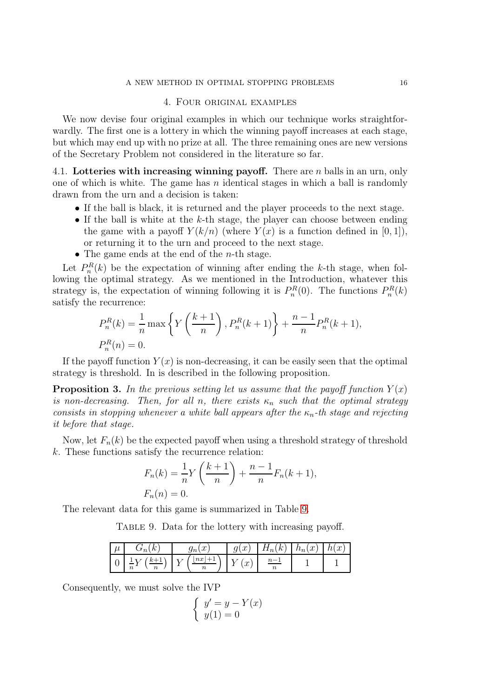#### A NEW METHOD IN OPTIMAL STOPPING PROBLEMS 16

### 4. Four original examples

We now devise four original examples in which our technique works straightforwardly. The first one is a lottery in which the winning payoff increases at each stage, but which may end up with no prize at all. The three remaining ones are new versions of the Secretary Problem not considered in the literature so far.

4.1. Lotteries with increasing winning payoff. There are  $n$  balls in an urn, only one of which is white. The game has  $n$  identical stages in which a ball is randomly drawn from the urn and a decision is taken:

- If the ball is black, it is returned and the player proceeds to the next stage.
- If the ball is white at the  $k$ -th stage, the player can choose between ending the game with a payoff  $Y(k/n)$  (where  $Y(x)$  is a function defined in [0, 1]), or returning it to the urn and proceed to the next stage.
- The game ends at the end of the  $n$ -th stage.

Let  $P_n^R(k)$  be the expectation of winning after ending the k-th stage, when following the optimal strategy. As we mentioned in the Introduction, whatever this strategy is, the expectation of winning following it is  $P_n^R(0)$ . The functions  $P_n^R(k)$ satisfy the recurrence:

$$
P_n^R(k) = \frac{1}{n} \max \left\{ Y\left(\frac{k+1}{n}\right), P_n^R(k+1) \right\} + \frac{n-1}{n} P_n^R(k+1),
$$
  

$$
P_n^R(n) = 0.
$$

If the payoff function  $Y(x)$  is non-decreasing, it can be easily seen that the optimal strategy is threshold. In is described in the following proposition.

**Proposition 3.** In the previous setting let us assume that the payoff function  $Y(x)$ is non-decreasing. Then, for all n, there exists  $\kappa_n$  such that the optimal strategy consists in stopping whenever a white ball appears after the  $\kappa_n$ -th stage and rejecting it before that stage.

Now, let  $F_n(k)$  be the expected payoff when using a threshold strategy of threshold k. These functions satisfy the recurrence relation:

$$
F_n(k) = \frac{1}{n} Y\left(\frac{k+1}{n}\right) + \frac{n-1}{n} F_n(k+1),
$$
  

$$
F_n(n) = 0.
$$

The relevant data for this game is summarized in Table [9.](#page-15-0)

<span id="page-15-0"></span>TABLE 9. Data for the lottery with increasing payoff.

| $\cdots$<br>$\mu$ | $\kappa$<br>$\mathsf{u}_n$                           | $\sim$<br>$\mathcal{Y}^{n}$<br>$\boldsymbol{\cdot}$ | $\alpha$<br>$\sim$<br>$\boldsymbol{\cdot}$<br>У | k)<br>н<br>$\mathbf{u}_n$ | $\sim$ '<br>h<br>w<br>$\mu_n$ | $\sim$<br>101<br>$\boldsymbol{\omega}$ |
|-------------------|------------------------------------------------------|-----------------------------------------------------|-------------------------------------------------|---------------------------|-------------------------------|----------------------------------------|
| ◡                 | $n + 1$<br>∸<br>$\boldsymbol{n}$<br>$\boldsymbol{n}$ | n x<br>$\overline{\phantom{a}}$                     | $\sim$<br>$\boldsymbol{\cdot}$                  |                           |                               |                                        |

Consequently, we must solve the IVP

$$
\begin{cases}\ny' = y - Y(x) \\
y(1) = 0\n\end{cases}
$$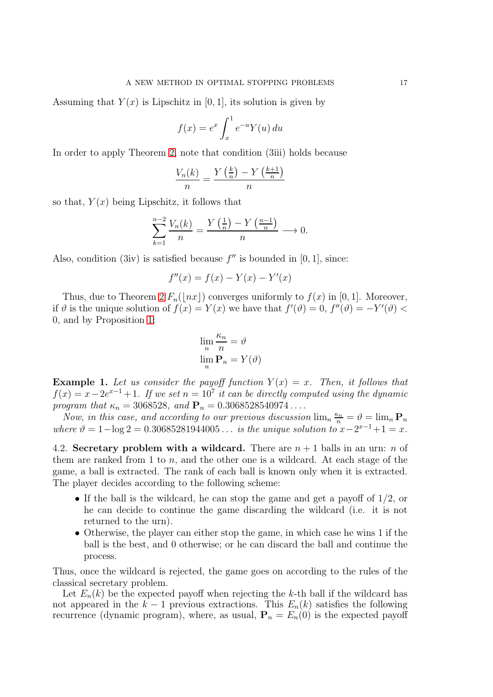Assuming that  $Y(x)$  is Lipschitz in [0, 1], its solution is given by

$$
f(x) = e^x \int_x^1 e^{-u} Y(u) \, du
$$

In order to apply Theorem [2,](#page-4-1) note that condition (3iii) holds because

$$
\frac{V_n(k)}{n} = \frac{Y\left(\frac{k}{n}\right) - Y\left(\frac{k+1}{n}\right)}{n}
$$

so that,  $Y(x)$  being Lipschitz, it follows that

$$
\sum_{k=1}^{n-2} \frac{V_n(k)}{n} = \frac{Y\left(\frac{1}{n}\right) - Y\left(\frac{n-1}{n}\right)}{n} \longrightarrow 0.
$$

Also, condition (3iv) is satisfied because  $f''$  is bounded in [0, 1], since:

$$
f''(x) = f(x) - Y(x) - Y'(x)
$$

Thus, due to Theorem [2](#page-4-1)  $F_n(\lfloor nx \rfloor)$  converges uniformly to  $f(x)$  in [0, 1]. Moreover, if  $\vartheta$  is the unique solution of  $f(x) = Y(x)$  we have that  $f'(\vartheta) = 0$ ,  $f''(\vartheta) = -Y'(\vartheta) < \vartheta$ 0, and by Proposition [1:](#page-6-0)

$$
\lim_{n} \frac{\kappa_n}{n} = \vartheta
$$
  

$$
\lim_{n} \mathbf{P}_n = Y(\vartheta)
$$

**Example 1.** Let us consider the payoff function  $Y(x) = x$ . Then, it follows that  $f(x) = x - 2e^{x-1} + 1$ . If we set  $n = 10^7$  it can be directly computed using the dynamic program that  $\kappa_n = 3068528$ , and  $P_n = 0.3068528540974...$ 

Now, in this case, and according to our previous discussion  $\lim_n \frac{\kappa_n}{n} = \vartheta = \lim_n \mathbf{P}_n$ where  $\vartheta = 1 - \log 2 = 0.30685281944005...$  is the unique solution to  $x - 2^{x-1} + 1 = x$ .

4.2. Secretary problem with a wildcard. There are  $n + 1$  balls in an urn: n of them are ranked from 1 to  $n$ , and the other one is a wildcard. At each stage of the game, a ball is extracted. The rank of each ball is known only when it is extracted. The player decides according to the following scheme:

- If the ball is the wildcard, he can stop the game and get a payoff of 1/2, or he can decide to continue the game discarding the wildcard (i.e. it is not returned to the urn).
- Otherwise, the player can either stop the game, in which case he wins 1 if the ball is the best, and 0 otherwise; or he can discard the ball and continue the process.

Thus, once the wildcard is rejected, the game goes on according to the rules of the classical secretary problem.

Let  $E_n(k)$  be the expected payoff when rejecting the k-th ball if the wildcard has not appeared in the  $k-1$  previous extractions. This  $E_n(k)$  satisfies the following recurrence (dynamic program), where, as usual,  $P_n = E_n(0)$  is the expected payoff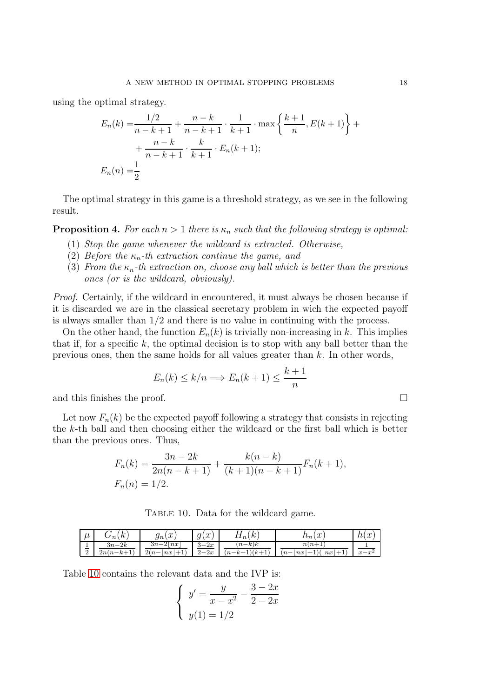using the optimal strategy.

$$
E_n(k) = \frac{1/2}{n - k + 1} + \frac{n - k}{n - k + 1} \cdot \frac{1}{k + 1} \cdot \max\left\{\frac{k + 1}{n}, E(k + 1)\right\} + \frac{n - k}{n - k + 1} \cdot \frac{k}{k + 1} \cdot E_n(k + 1);
$$
  

$$
E_n(n) = \frac{1}{2}
$$

The optimal strategy in this game is a threshold strategy, as we see in the following result.

**Proposition 4.** For each  $n > 1$  there is  $\kappa_n$  such that the following strategy is optimal:

- (1) Stop the game whenever the wildcard is extracted. Otherwise,
- (2) Before the  $\kappa_n$ -th extraction continue the game, and
- (3) From the  $\kappa_n$ -th extraction on, choose any ball which is better than the previous ones (or is the wildcard, obviously).

Proof. Certainly, if the wildcard in encountered, it must always be chosen because if it is discarded we are in the classical secretary problem in wich the expected payoff is always smaller than 1/2 and there is no value in continuing with the process.

On the other hand, the function  $E_n(k)$  is trivially non-increasing in k. This implies that if, for a specific  $k$ , the optimal decision is to stop with any ball better than the previous ones, then the same holds for all values greater than  $k$ . In other words,

$$
E_n(k) \le k/n \Longrightarrow E_n(k+1) \le \frac{k+1}{n}
$$

and this finishes the proof.

Let now  $F_n(k)$  be the expected payoff following a strategy that consists in rejecting the k-th ball and then choosing either the wildcard or the first ball which is better than the previous ones. Thus,

$$
F_n(k) = \frac{3n - 2k}{2n(n - k + 1)} + \frac{k(n - k)}{(k + 1)(n - k + 1)} F_n(k + 1),
$$
  

$$
F_n(n) = 1/2.
$$

<span id="page-17-0"></span>TABLE 10. Data for the wildcard game.

| $^{\prime}$<br>$\boldsymbol{\mu}$   | $\sqrt{ }$<br>$\sim$<br>$\sim$<br>$n_{\lambda}$<br>◡      | $\sim$<br>$S_{n}$<br>$\overline{\mathcal{U}}$                                                                                                                    | $\sim$<br>aι<br>w<br>◡                                     | $\sqrt{ }$<br>$\mathbf{v}$<br>$\mathbf{11}_n$      | $\sim$<br>$\mu$ <sup>1</sup><br>$\boldsymbol{\cdot}$                | $\sim$<br>$h_{\perp}$<br>1U<br>u |
|-------------------------------------|-----------------------------------------------------------|------------------------------------------------------------------------------------------------------------------------------------------------------------------|------------------------------------------------------------|----------------------------------------------------|---------------------------------------------------------------------|----------------------------------|
| <b>.</b><br>$\sim$<br>$\Omega$<br>▵ | $3n-2k$<br>$2n(n-$<br>$\rightarrow$<br>$-k$ .<br><b>I</b> | $\Omega$<br>$_{3n}$<br>$\lfloor nx \rfloor$<br>!— 4<br>$2(n-$<br>nx<br>$\pm$<br>—<br>$\mathbf{\mathbf{\mathbf{\mathbf{\mathbf{\mathbf{\mathbf{\mathbf{I}}}}}}}}$ | 2x<br>ິ<br>$\overline{\phantom{0}}$<br>v<br>2x<br>$\Omega$ | $(n-k)k$<br>$(1)(k+1)$<br>$\cdot_n$<br>"<br>$-k$ . | $n(n+$<br>$n-$<br>n x<br>nx<br>$\overline{\phantom{0}}$<br><b>.</b> | $x-$<br>$\sim$ 4<br>w            |

Table [10](#page-17-0) contains the relevant data and the IVP is:

$$
\begin{cases}\n y' = \frac{y}{x - x^2} - \frac{3 - 2x}{2 - 2x} \\
 y(1) = \frac{1}{2}\n\end{cases}
$$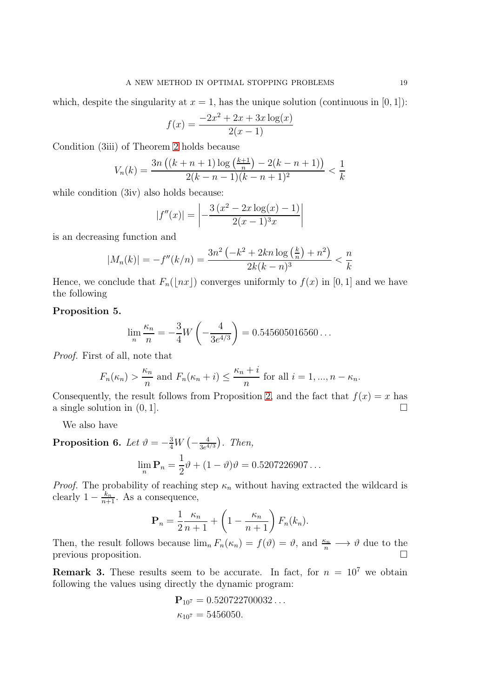which, despite the singularity at  $x = 1$ , has the unique solution (continuous in [0, 1]):

$$
f(x) = \frac{-2x^2 + 2x + 3x \log(x)}{2(x-1)}
$$

Condition (3iii) of Theorem [2](#page-4-1) holds because

$$
V_n(k) = \frac{3n\left((k+n+1)\log\left(\frac{k+1}{n}\right) - 2(k-n+1)\right)}{2(k-n-1)(k-n+1)^2} < \frac{1}{k}
$$

while condition (3iv) also holds because:

$$
|f''(x)| = \left| -\frac{3(x^2 - 2x \log(x) - 1)}{2(x - 1)^3 x} \right|
$$

is an decreasing function and

$$
|M_n(k)| = -f''(k/n) = \frac{3n^2\left(-k^2 + 2kn\log\left(\frac{k}{n}\right) + n^2\right)}{2k(k-n)^3} < \frac{n}{k}
$$

Hence, we conclude that  $F_n(\lfloor nx \rfloor)$  converges uniformly to  $f(x)$  in [0, 1] and we have the following

# Proposition 5.

$$
\lim_{n} \frac{\kappa_n}{n} = -\frac{3}{4}W\left(-\frac{4}{3e^{4/3}}\right) = 0.545605016560\dots
$$

Proof. First of all, note that

$$
F_n(\kappa_n) > \frac{\kappa_n}{n}
$$
 and  $F_n(\kappa_n + i) \le \frac{\kappa_n + i}{n}$  for all  $i = 1, ..., n - \kappa_n$ .

Consequently, the result follows from Proposition [2,](#page-6-1) and the fact that  $f(x) = x$  has a single solution in  $(0, 1]$ .

We also have

**Proposition 6.** Let 
$$
\vartheta = -\frac{3}{4}W(-\frac{4}{3e^{4/3}})
$$
. Then,  

$$
\lim_{n} \mathbf{P}_{n} = \frac{1}{2}\vartheta + (1 - \vartheta)\vartheta = 0.5207226907...
$$

*Proof.* The probability of reaching step  $\kappa_n$  without having extracted the wildcard is clearly  $1 - \frac{k_n}{n+1}$ . As a consequence,

$$
\mathbf{P}_n = \frac{1}{2} \frac{\kappa_n}{n+1} + \left(1 - \frac{\kappa_n}{n+1}\right) F_n(k_n).
$$

Then, the result follows because  $\lim_{n} F_n(\kappa_n) = f(\vartheta) = \vartheta$ , and  $\frac{\kappa_n}{n} \longrightarrow \vartheta$  due to the previous proposition.  $\Box$ 

**Remark 3.** These results seem to be accurate. In fact, for  $n = 10^7$  we obtain following the values using directly the dynamic program:

$$
\mathbf{P}_{10^7} = 0.520722700032...
$$
  

$$
\kappa_{10^7} = 5456050.
$$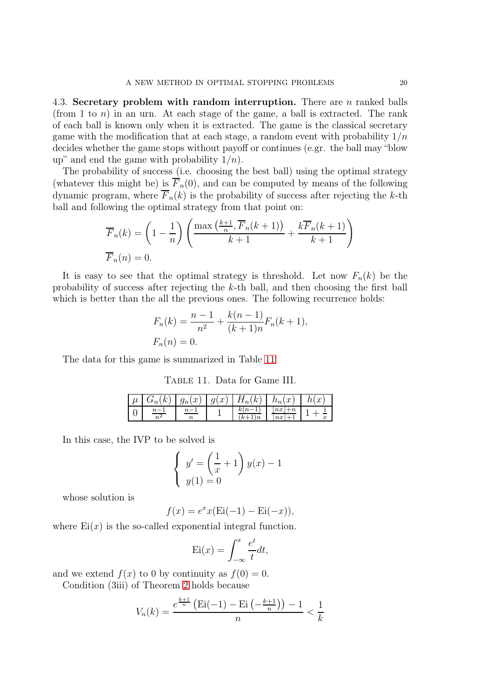4.3. Secretary problem with random interruption. There are  $n$  ranked balls (from 1 to  $n$ ) in an urn. At each stage of the game, a ball is extracted. The rank of each ball is known only when it is extracted. The game is the classical secretary game with the modification that at each stage, a random event with probability  $1/n$ decides whether the game stops without payoff or continues (e.gr. the ball may "blow up" and end the game with probability  $1/n$ .

The probability of success (i.e. choosing the best ball) using the optimal strategy (whatever this might be) is  $F_n(0)$ , and can be computed by means of the following dynamic program, where  $\overline{F}_n(k)$  is the probability of success after rejecting the k-th ball and following the optimal strategy from that point on:

$$
\overline{F}_n(k) = \left(1 - \frac{1}{n}\right) \left(\frac{\max\left(\frac{k+1}{n}, \overline{F}_n(k+1)\right)}{k+1} + \frac{k\overline{F}_n(k+1)}{k+1}\right)
$$

$$
\overline{F}_n(n) = 0.
$$

It is easy to see that the optimal strategy is threshold. Let now  $F_n(k)$  be the probability of success after rejecting the  $k$ -th ball, and then choosing the first ball which is better than the all the previous ones. The following recurrence holds:

$$
F_n(k) = \frac{n-1}{n^2} + \frac{k(n-1)}{(k+1)n} F_n(k+1),
$$
  

$$
F_n(n) = 0.
$$

The data for this game is summarized in Table [11](#page-19-0)

<span id="page-19-0"></span>Table 11. Data for Game III.

| (k) | $g_n(x)$   $g(x)$ | $H_n(k)$ | $h_n(x)$      | $\boldsymbol{x}$ |
|-----|-------------------|----------|---------------|------------------|
|     |                   |          | $^{nx}$<br>nx |                  |

In this case, the IVP to be solved is

$$
\begin{cases} y' = \left(\frac{1}{x} + 1\right) y(x) - 1 \\ y(1) = 0 \end{cases}
$$

whose solution is

$$
f(x) = e^x x (Ei(-1) - Ei(-x)),
$$

where  $Ei(x)$  is the so-called exponential integral function.

$$
Ei(x) = \int_{-\infty}^{x} \frac{e^t}{t} dt,
$$

and we extend  $f(x)$  to 0 by continuity as  $f(0) = 0$ .

Condition (3iii) of Theorem [2](#page-4-1) holds because

$$
V_n(k) = \frac{e^{\frac{k+1}{n}} \left( \text{Ei}(-1) - \text{Ei} \left( -\frac{k+1}{n} \right) \right) - 1}{n} < \frac{1}{k}
$$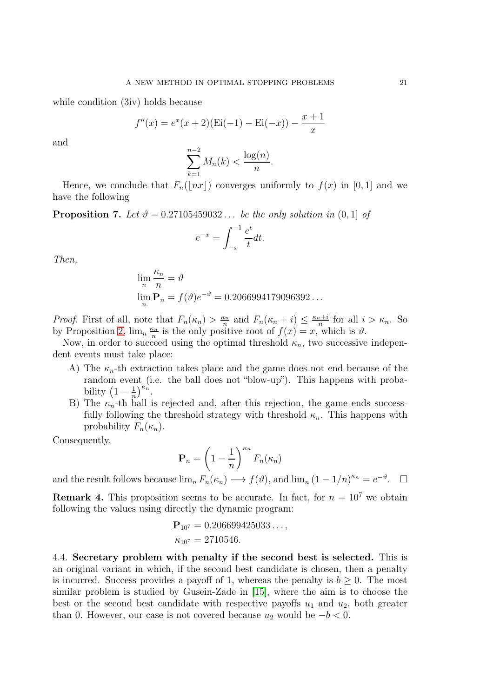while condition (3iv) holds because

$$
f''(x) = e^x(x+2)(\text{Ei}(-1) - \text{Ei}(-x)) - \frac{x+1}{x}
$$

and

$$
\sum_{k=1}^{n-2} M_n(k) < \frac{\log(n)}{n}.
$$

Hence, we conclude that  $F_n(|nx|)$  converges uniformly to  $f(x)$  in [0, 1] and we have the following

**Proposition 7.** Let  $\vartheta = 0.27105459032...$  be the only solution in  $(0, 1]$  of

$$
e^{-x} = \int_{-x}^{-1} \frac{e^t}{t} dt.
$$

Then,

$$
\lim_{n} \frac{\kappa_n}{n} = \vartheta
$$
  
\n
$$
\lim_{n} \mathbf{P}_n = f(\vartheta) e^{-\vartheta} = 0.2066994179096392...
$$

*Proof.* First of all, note that  $F_n(\kappa_n) > \frac{\kappa_n}{n}$  $\frac{\kappa_n}{n}$  and  $F_n(\kappa_n+i) \leq \frac{\kappa_n+i}{n}$  $\frac{n+1}{n}$  for all  $i > \kappa_n$ . So by Proposition [2,](#page-6-1)  $\lim_{n} \frac{\kappa_n}{n}$  $\frac{\epsilon_n}{n}$  is the only positive root of  $f(x) = x$ , which is  $\vartheta$ .

Now, in order to succeed using the optimal threshold  $\kappa_n$ , two successive independent events must take place:

- A) The  $\kappa_n$ -th extraction takes place and the game does not end because of the random event (i.e. the ball does not "blow-up"). This happens with probability  $\left(1-\frac{1}{n}\right)$  $\frac{1}{n}\Big)^{\kappa_n}.$
- B) The  $\kappa_n$ -th ball is rejected and, after this rejection, the game ends successfully following the threshold strategy with threshold  $\kappa_n$ . This happens with probability  $F_n(\kappa_n)$ .

Consequently,

$$
\mathbf{P}_n = \left(1 - \frac{1}{n}\right)^{\kappa_n} F_n(\kappa_n)
$$

and the result follows because  $\lim_{n} F_n(\kappa_n) \longrightarrow f(\vartheta)$ , and  $\lim_{n} (1 - 1/n)^{\kappa_n} = e^{-\vartheta}$ .  $\Box$ 

**Remark 4.** This proposition seems to be accurate. In fact, for  $n = 10^7$  we obtain following the values using directly the dynamic program:

$$
\mathbf{P}_{10^7} = 0.206699425033...,
$$
  

$$
\kappa_{10^7} = 2710546.
$$

4.4. Secretary problem with penalty if the second best is selected. This is an original variant in which, if the second best candidate is chosen, then a penalty is incurred. Success provides a payoff of 1, whereas the penalty is  $b \geq 0$ . The most similar problem is studied by Gusein-Zade in [\[15\]](#page-29-21), where the aim is to choose the best or the second best candidate with respective payoffs  $u_1$  and  $u_2$ , both greater than 0. However, our case is not covered because  $u_2$  would be  $-b < 0$ .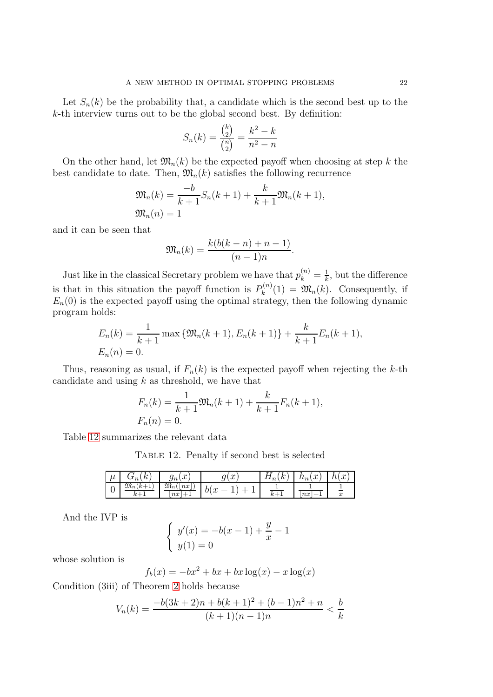Let  $S_n(k)$  be the probability that, a candidate which is the second best up to the  $k$ -th interview turns out to be the global second best. By definition:

$$
S_n(k) = \frac{\binom{k}{2}}{\binom{n}{2}} = \frac{k^2 - k}{n^2 - n}
$$

On the other hand, let  $\mathfrak{M}_n(k)$  be the expected payoff when choosing at step k the best candidate to date. Then,  $\mathfrak{M}_n(k)$  satisfies the following recurrence

$$
\mathfrak{M}_n(k) = \frac{-b}{k+1} S_n(k+1) + \frac{k}{k+1} \mathfrak{M}_n(k+1),
$$
  

$$
\mathfrak{M}_n(n) = 1
$$

and it can be seen that

$$
\mathfrak{M}_n(k) = \frac{k(b(k-n)+n-1)}{(n-1)n}.
$$

Just like in the classical Secretary problem we have that  $p_k^{(n)} = \frac{1}{k}$  $\frac{1}{k}$ , but the difference is that in this situation the payoff function is  $P_k^{(n)}$  $\mathfrak{M}_k^{(n)}(1) = \mathfrak{M}_n(k)$ . Consequently, if  $E_n(0)$  is the expected payoff using the optimal strategy, then the following dynamic program holds:

$$
E_n(k) = \frac{1}{k+1} \max \{ \mathfrak{M}_n(k+1), E_n(k+1) \} + \frac{k}{k+1} E_n(k+1),
$$
  

$$
E_n(n) = 0.
$$

Thus, reasoning as usual, if  $F_n(k)$  is the expected payoff when rejecting the k-th candidate and using  $k$  as threshold, we have that

$$
F_n(k) = \frac{1}{k+1} \mathfrak{M}_n(k+1) + \frac{k}{k+1} F_n(k+1),
$$
  

$$
F_n(n) = 0.
$$

Table [12](#page-21-0) summarizes the relevant data

<span id="page-21-0"></span>Table 12. Penalty if second best is selected

| $\cdot$<br>$\mu$ | $\kappa$<br>$\sim$<br>$\overline{n}$<br>v | $\sim$<br>∼<br>$\mathcal{Y}^n$<br>w      | $\sim$<br>u<br>◡                                              | $\sim$<br>$\mathbf{u}$<br>$\mathbf{u}_n$ | $\sim$<br>$\cdots$<br>.i | $\sim$<br>$\overline{\phantom{a}}$<br>u |
|------------------|-------------------------------------------|------------------------------------------|---------------------------------------------------------------|------------------------------------------|--------------------------|-----------------------------------------|
| ັ                | $\mathfrak{M}_n($<br>L<br><b>.</b><br>--  | $\mathfrak{M}_n$<br>n x<br>$_{nx}$<br>-- | $\bm{\mathsf{\nu}}$<br>$\boldsymbol{\omega}$<br><u>.</u><br>– | ı.<br>$\sim$                             | $_{nx}$<br><b>.</b>      | —<br>$\boldsymbol{x}$                   |

And the IVP is

$$
\begin{cases} y'(x) = -b(x-1) + \frac{y}{x} - 1 \\ y(1) = 0 \end{cases}
$$

whose solution is

$$
f_b(x) = -bx^2 + bx + bx\log(x) - x\log(x)
$$

Condition (3iii) of Theorem [2](#page-4-1) holds because

$$
V_n(k) = \frac{-b(3k+2)n + b(k+1)^2 + (b-1)n^2 + n}{(k+1)(n-1)n} < \frac{b}{k}
$$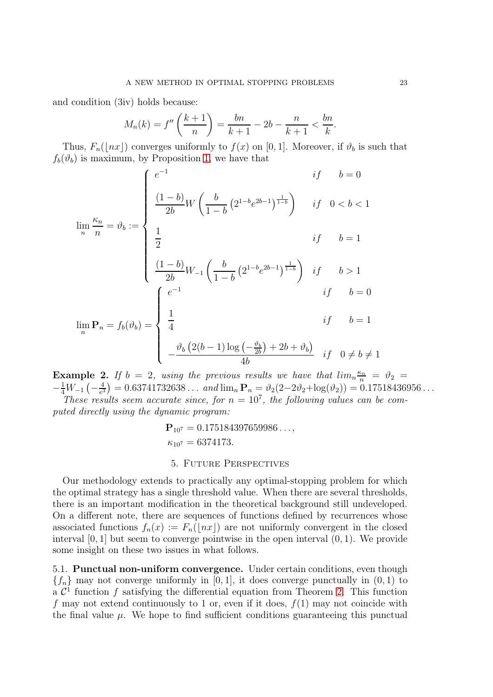and condition (3iv) holds because:

$$
M_n(k) = f''\left(\frac{k+1}{n}\right) = \frac{bn}{k+1} - 2b - \frac{n}{k+1} < \frac{bn}{k}.
$$

Thus,  $F_n(\lfloor nx \rfloor)$  converges uniformly to  $f(x)$  on [0, 1]. Moreover, if  $\vartheta_b$  is such that  $f_b(\vartheta_b)$  is maximum, by Proposition [1,](#page-6-0) we have that

$$
\lim_{n} \frac{\kappa_n}{n} = \vartheta_b := \begin{cases} e^{-1} & \text{if } b = 0 \\ \frac{(1-b)}{2b} W \left( \frac{b}{1-b} \left( 2^{1-b} e^{2b-1} \right)^{\frac{1}{1-b}} \right) & \text{if } 0 < b < 1 \\ \frac{1}{2} & \text{if } b = 1 \\ \frac{(1-b)}{2b} W_{-1} \left( \frac{b}{1-b} \left( 2^{1-b} e^{2b-1} \right)^{\frac{1}{1-b}} \right) & \text{if } b > 1 \\ \frac{e^{-1}}{2b} & \text{if } b = 0 \end{cases}
$$
\n
$$
\lim_{n} \mathbf{P}_n = f_b(\vartheta_b) = \begin{cases} e^{-1} & \text{if } b = 1 \\ \frac{1}{4} & \text{if } b = 1 \\ -\frac{\vartheta_b \left( 2(b-1) \log \left( -\frac{\vartheta_b}{2b} \right) + 2b + \vartheta_b \right)}{4b} & \text{if } 0 \neq b \neq 1 \end{cases}
$$

**Example 2.** If  $b = 2$ , using the previous results we have that  $\lim_{n \to \infty} \frac{\kappa_n}{n} = \vartheta_2 =$  $-\frac{1}{4}W_{-1}\left(-\frac{4}{e^3}\right)$  $\frac{4}{e^3}$  = 0.63741732638 ... and  $\lim_n \mathbf{P}_n = \vartheta_2(2-2\vartheta_2 + \log(\vartheta_2)) = 0.17518436956...$ 

These results seem accurate since, for  $n = 10^7$ , the following values can be computed directly using the dynamic program:

$$
\begin{aligned} \mathbf{P}_{10^7} &= 0.175184397659986 \ldots, \\ \kappa_{10^7} &= 6374173. \end{aligned}
$$

## 5. Future Perspectives

Our methodology extends to practically any optimal-stopping problem for which the optimal strategy has a single threshold value. When there are several thresholds, there is an important modification in the theoretical background still undeveloped. On a different note, there are sequences of functions defined by recurrences whose associated functions  $f_n(x) := F_n(\vert nx \vert)$  are not uniformly convergent in the closed interval  $[0, 1]$  but seem to converge pointwise in the open interval  $(0, 1)$ . We provide some insight on these two issues in what follows.

5.1. Punctual non-uniform convergence. Under certain conditions, even though  ${f_n}$  may not converge uniformly in [0, 1], it does converge punctually in (0, 1) to a  $\mathcal{C}^1$  function f satisfying the differential equation from Theorem [2.](#page-4-1) This function f may not extend continuously to 1 or, even if it does,  $f(1)$  may not coincide with the final value  $\mu$ . We hope to find sufficient conditions guaranteeing this punctual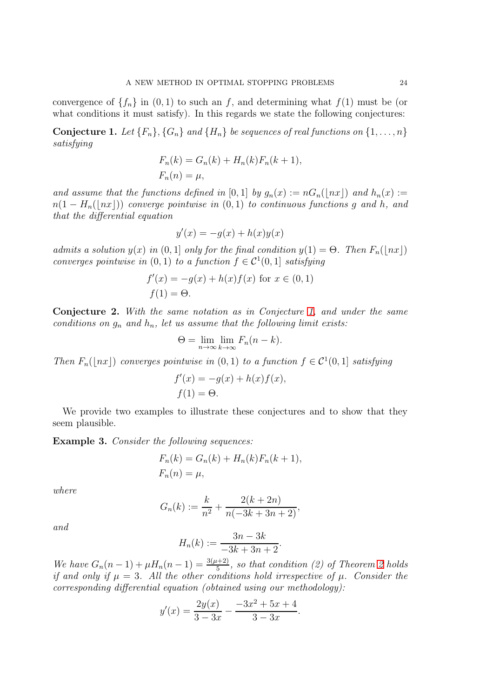convergence of  $\{f_n\}$  in  $(0, 1)$  to such an f, and determining what  $f(1)$  must be (or what conditions it must satisfy). In this regards we state the following conjectures:

<span id="page-23-0"></span>**Conjecture 1.** Let  $\{F_n\}$ ,  $\{G_n\}$  and  $\{H_n\}$  be sequences of real functions on  $\{1, \ldots, n\}$ satisfying

$$
F_n(k) = G_n(k) + H_n(k)F_n(k+1),
$$
  

$$
F_n(n) = \mu,
$$

and assume that the functions defined in [0, 1] by  $g_n(x) := nG_n(\vert nx \vert)$  and  $h_n(x) :=$  $n(1 - H_n(\lfloor nx \rfloor))$  converge pointwise in  $(0, 1)$  to continuous functions g and h, and that the differential equation

$$
y'(x) = -g(x) + h(x)y(x)
$$

admits a solution  $y(x)$  in  $(0, 1]$  only for the final condition  $y(1) = \Theta$ . Then  $F_n(\lfloor nx \rfloor)$ converges pointwise in  $(0, 1)$  to a function  $f \in C^1(0, 1]$  satisfying

$$
f'(x) = -g(x) + h(x)f(x)
$$
 for  $x \in (0, 1)$   
 $f(1) = \Theta.$ 

<span id="page-23-2"></span>Conjecture 2. With the same notation as in Conjecture [1,](#page-23-0) and under the same conditions on  $g_n$  and  $h_n$ , let us assume that the following limit exists:

$$
\Theta = \lim_{n \to \infty} \lim_{k \to \infty} F_n(n - k).
$$

Then  $F_n(\lfloor nx \rfloor)$  converges pointwise in  $(0,1)$  to a function  $f \in C^1(0,1]$  satisfying

$$
f'(x) = -g(x) + h(x)f(x),
$$
  
 
$$
f(1) = \Theta.
$$

We provide two examples to illustrate these conjectures and to show that they seem plausible.

<span id="page-23-1"></span>Example 3. Consider the following sequences:

$$
F_n(k) = G_n(k) + H_n(k)F_n(k+1),
$$
  

$$
F_n(n) = \mu,
$$

where

$$
G_n(k) := \frac{k}{n^2} + \frac{2(k+2n)}{n(-3k+3n+2)},
$$

and

$$
H_n(k) := \frac{3n - 3k}{-3k + 3n + 2}.
$$

We have  $G_n(n-1) + \mu H_n(n-1) = \frac{3(\mu+2)}{5}$ , so that condition (2) of Theorem [2](#page-4-1) holds if and only if  $\mu = 3$ . All the other conditions hold irrespective of  $\mu$ . Consider the corresponding differential equation (obtained using our methodology):

$$
y'(x) = \frac{2y(x)}{3-3x} - \frac{-3x^2 + 5x + 4}{3-3x}.
$$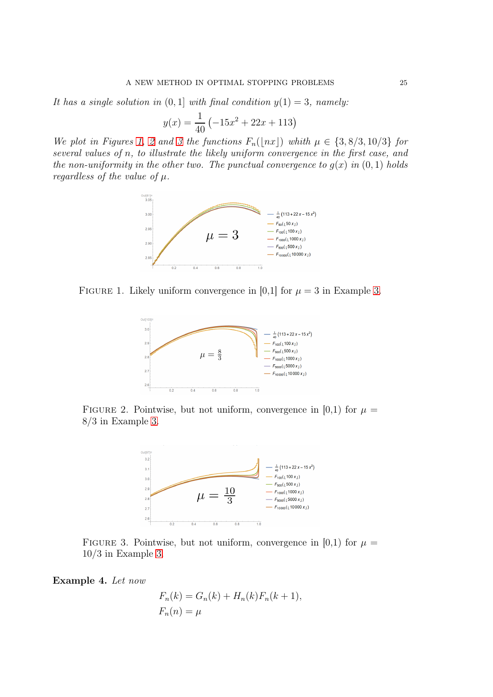It has a single solution in  $(0, 1]$  with final condition  $y(1) = 3$ , namely:

$$
y(x) = \frac{1}{40} \left( -15x^2 + 22x + 113 \right)
$$

We plot in Figures [1,](#page-24-0) [2](#page-24-1) and [3](#page-24-2) the functions  $F_n(\lfloor nx \rfloor)$  whith  $\mu \in \{3, 8/3, 10/3\}$  for several values of n, to illustrate the likely uniform convergence in the first case, and the non-uniformity in the other two. The punctual convergence to  $g(x)$  in  $(0, 1)$  holds regardless of the value of  $\mu$ .



FIGURE 1. Likely uniform convergence in [0,1] for  $\mu = 3$  in Example [3.](#page-23-1)

<span id="page-24-0"></span>

FIGURE 2. Pointwise, but not uniform, convergence in [0,1) for  $\mu =$ 8/3 in Example [3.](#page-23-1)

<span id="page-24-1"></span>

FIGURE 3. Pointwise, but not uniform, convergence in [0,1] for  $\mu =$  $10/3$  in Example [3.](#page-23-1)

Example 4. Let now

<span id="page-24-2"></span>
$$
F_n(k) = G_n(k) + H_n(k)F_n(k+1),
$$
  

$$
F_n(n) = \mu
$$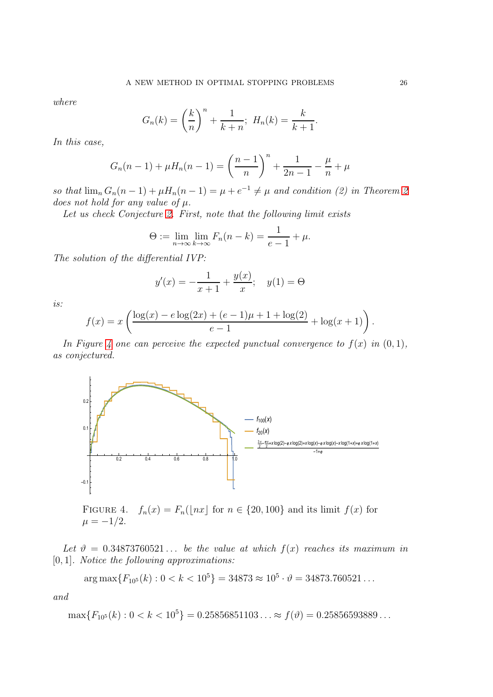where

$$
G_n(k) = \left(\frac{k}{n}\right)^n + \frac{1}{k+n}; \ H_n(k) = \frac{k}{k+1}
$$

.

In this case,

$$
G_n(n-1) + \mu H_n(n-1) = \left(\frac{n-1}{n}\right)^n + \frac{1}{2n-1} - \frac{\mu}{n} + \mu
$$

so that  $\lim_{n} G_n(n-1) + \mu H_n(n-1) = \mu + e^{-1} \neq \mu$  and condition (2) in Theorem [2](#page-4-1) does not hold for any value of  $\mu$ .

Let us check Conjecture [2.](#page-23-2) First, note that the following limit exists

$$
\Theta := \lim_{n \to \infty} \lim_{k \to \infty} F_n(n-k) = \frac{1}{e-1} + \mu.
$$

The solution of the differential IVP:

$$
y'(x) = -\frac{1}{x+1} + \frac{y(x)}{x}; \quad y(1) = \Theta
$$

is:

$$
f(x) = x \left( \frac{\log(x) - e \log(2x) + (e - 1)\mu + 1 + \log(2)}{e - 1} + \log(x + 1) \right).
$$

In Figure [4](#page-25-0) one can perceive the expected punctual convergence to  $f(x)$  in  $(0, 1)$ , as conjectured.



<span id="page-25-0"></span>FIGURE 4.  $f_n(x) = F_n(\lfloor nx \rfloor \text{ for } n \in \{20, 100\} \text{ and its limit } f(x) \text{ for }$  $\mu = -1/2.$ 

Let  $\vartheta = 0.34873760521...$  be the value at which  $f(x)$  reaches its maximum in  $[0, 1]$ . Notice the following approximations:

$$
\arg \max \{ F_{10^5}(k) : 0 < k < 10^5 \} = 34873 \approx 10^5 \cdot \vartheta = 34873.760521 \dots
$$

and

$$
\max\{F_{10^5}(k): 0 < k < 10^5\} = 0.25856851103\ldots \approx f(\vartheta) = 0.25856593889\ldots
$$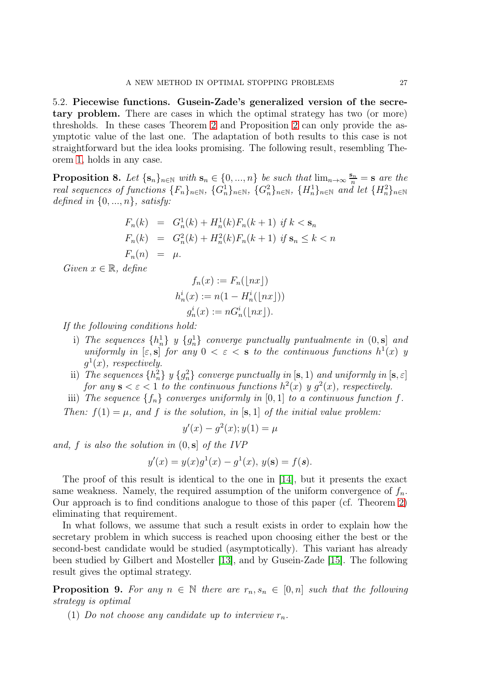5.2. Piecewise functions. Gusein-Zade's generalized version of the secretary problem. There are cases in which the optimal strategy has two (or more) thresholds. In these cases Theorem [2](#page-4-1) and Proposition [2](#page-6-1) can only provide the asymptotic value of the last one. The adaptation of both results to this case is not straightforward but the idea looks promising. The following result, resembling Theorem [1,](#page-2-0) holds in any case.

**Proposition 8.** Let  $\{s_n\}_{n\in\mathbb{N}}$  with  $s_n \in \{0, ..., n\}$  be such that  $\lim_{n\to\infty} \frac{s_n}{n} = s$  are the real sequences of functions  $\{F_n\}_{n\in\mathbb{N}}$ ,  $\{G_n^1\}_{n\in\mathbb{N}}$ ,  $\{G_n^2\}_{n\in\mathbb{N}}$ ,  $\{H_n^1\}_{n\in\mathbb{N}}$  and let  $\{H_n^2\}_{n\in\mathbb{N}}$ defined in  $\{0, ..., n\}$ , satisfy:

$$
F_n(k) = G_n^1(k) + H_n^1(k)F_n(k+1) \text{ if } k < s_n
$$
  
\n
$$
F_n(k) = G_n^2(k) + H_n^2(k)F_n(k+1) \text{ if } s_n \le k < n
$$
  
\n
$$
F_n(n) = \mu.
$$

Given  $x \in \mathbb{R}$ , define

$$
f_n(x) := F_n(\lfloor nx \rfloor)
$$
  
\n
$$
h_n^i(x) := n(1 - H_n^i(\lfloor nx \rfloor))
$$
  
\n
$$
g_n^i(x) := nG_n^i(\lfloor nx \rfloor).
$$

If the following conditions hold:

- i) The sequences  $\{h_n^1\}$  y  $\{g_n^1\}$  converge punctually puntualmente in  $(0, s]$  and uniformly in  $[\varepsilon, s]$  for any  $0 < \varepsilon < s$  to the continuous functions  $h^{1}(x)$  y  $g^1(x)$ , respectively.
- ii) The sequences  $\{h_n^2\}$  y  $\{g_n^2\}$  converge punctually in  $[\mathbf{s}, 1)$  and uniformly in  $[\mathbf{s}, \varepsilon]$ for any  $s < \varepsilon < 1$  to the continuous functions  $h^2(x)$  y  $g^2(x)$ , respectively.
- iii) The sequence  $\{f_n\}$  converges uniformly in [0, 1] to a continuous function f.

Then:  $f(1) = \mu$ , and f is the solution, in [s, 1] of the initial value problem:

$$
y'(x) - g^{2}(x); y(1) = \mu
$$

and, f is also the solution in  $(0, s]$  of the IVP

$$
y'(x) = y(x)g1(x) - g1(x), y(\mathbf{s}) = f(\mathbf{s}).
$$

The proof of this result is identical to the one in [\[14\]](#page-29-2), but it presents the exact same weakness. Namely, the required assumption of the uniform convergence of  $f_n$ . Our approach is to find conditions analogue to those of this paper (cf. Theorem [2\)](#page-4-1) eliminating that requirement.

In what follows, we assume that such a result exists in order to explain how the secretary problem in which success is reached upon choosing either the best or the second-best candidate would be studied (asymptotically). This variant has already been studied by Gilbert and Mosteller [\[13\]](#page-29-0), and by Gusein-Zade [\[15\]](#page-29-21). The following result gives the optimal strategy.

<span id="page-26-0"></span>**Proposition 9.** For any  $n \in \mathbb{N}$  there are  $r_n, s_n \in [0, n]$  such that the following strategy is optimal

(1) Do not choose any candidate up to interview  $r_n$ .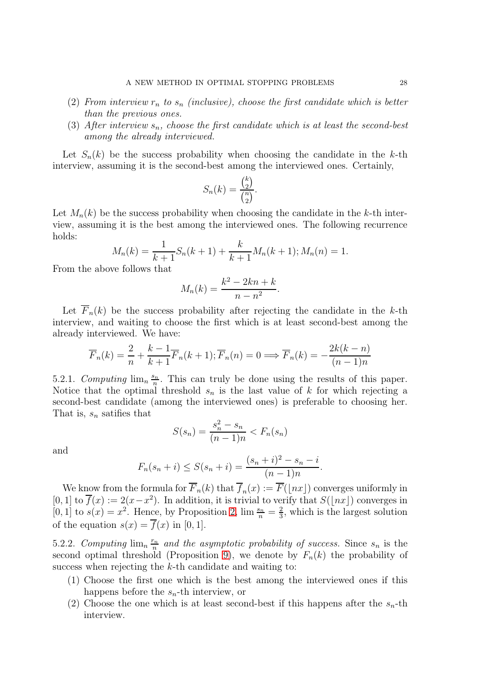- (2) From interview  $r_n$  to  $s_n$  (inclusive), choose the first candidate which is better than the previous ones.
- (3) After interview  $s_n$ , choose the first candidate which is at least the second-best among the already interviewed.

Let  $S_n(k)$  be the success probability when choosing the candidate in the k-th interview, assuming it is the second-best among the interviewed ones. Certainly,

$$
S_n(k) = \frac{\binom{k}{2}}{\binom{n}{2}}.
$$

Let  $M_n(k)$  be the success probability when choosing the candidate in the k-th interview, assuming it is the best among the interviewed ones. The following recurrence holds:

$$
M_n(k) = \frac{1}{k+1} S_n(k+1) + \frac{k}{k+1} M_n(k+1); M_n(n) = 1.
$$

From the above follows that

$$
M_n(k) = \frac{k^2 - 2kn + k}{n - n^2}.
$$

Let  $\overline{F}_n(k)$  be the success probability after rejecting the candidate in the k-th interview, and waiting to choose the first which is at least second-best among the already interviewed. We have:

$$
\overline{F}_n(k) = \frac{2}{n} + \frac{k-1}{k+1} \overline{F}_n(k+1); \overline{F}_n(n) = 0 \Longrightarrow \overline{F}_n(k) = -\frac{2k(k-n)}{(n-1)n}
$$

5.2.1. Computing  $\lim_{n \to \infty} \frac{s_n}{n}$  $\frac{S_{n}}{n}$ . This can truly be done using the results of this paper. Notice that the optimal threshold  $s_n$  is the last value of k for which rejecting a second-best candidate (among the interviewed ones) is preferable to choosing her. That is,  $s_n$  satifies that

$$
S(s_n) = \frac{s_n^2 - s_n}{(n-1)n} < F_n(s_n)
$$

and

$$
F_n(s_n + i) \leq S(s_n + i) = \frac{(s_n + i)^2 - s_n - i}{(n - 1)n}.
$$

We know from the formula for  $F_n(k)$  that  $f_n(x) := F(\lfloor nx \rfloor)$  converges uniformly in  $[0, 1]$  to  $\overline{f}(x) := 2(x - x^2)$ . In addition, it is trivial to verify that  $S(\lfloor nx \rfloor)$  converges in [0, 1] to  $s(x) = x^2$ . Hence, by Proposition [2,](#page-6-1)  $\lim \frac{s_n}{n} = \frac{2}{3}$  $\frac{2}{3}$ , which is the largest solution of the equation  $s(x) = \overline{f}(x)$  in [0, 1].

5.2.2. Computing  $\lim_{n} \frac{r_n}{n}$  $\frac{c_n}{n}$  and the asymptotic probability of success. Since  $s_n$  is the second optimal threshold (Proposition [9\)](#page-26-0), we denote by  $F_n(k)$  the probability of success when rejecting the k-th candidate and waiting to:

- (1) Choose the first one which is the best among the interviewed ones if this happens before the  $s_n$ -th interview, or
- (2) Choose the one which is at least second-best if this happens after the  $s_n$ -th interview.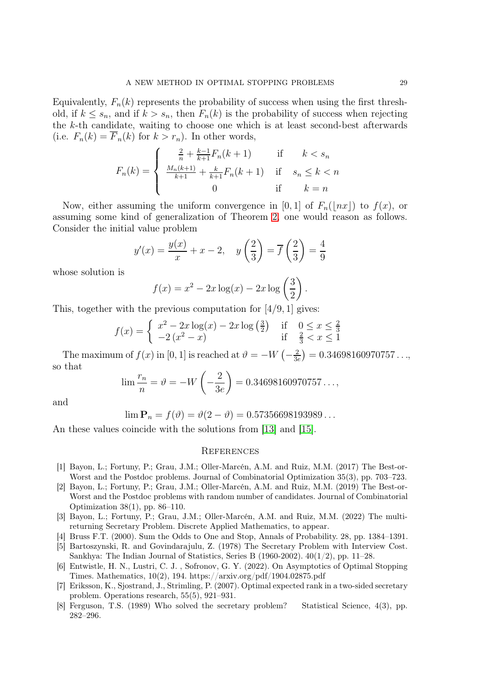Equivalently,  $F_n(k)$  represents the probability of success when using the first threshold, if  $k \leq s_n$ , and if  $k > s_n$ , then  $F_n(k)$  is the probability of success when rejecting the k-th candidate, waiting to choose one which is at least second-best afterwards (i.e.  $F_n(k) = \overline{F}_n(k)$  for  $k > r_n$ ). In other words,

$$
F_n(k) = \begin{cases} \frac{2}{n} + \frac{k-1}{k+1} F_n(k+1) & \text{if } k < s_n \\ \frac{M_n(k+1)}{k+1} + \frac{k}{k+1} F_n(k+1) & \text{if } s_n \le k < n \\ 0 & \text{if } k = n \end{cases}
$$

Now, either assuming the uniform convergence in [0, 1] of  $F_n(|nx|)$  to  $f(x)$ , or assuming some kind of generalization of Theorem [2,](#page-4-1) one would reason as follows. Consider the initial value problem

$$
y'(x) = \frac{y(x)}{x} + x - 2, \quad y\left(\frac{2}{3}\right) = \overline{f}\left(\frac{2}{3}\right) = \frac{4}{9}
$$

whose solution is

$$
f(x) = x^2 - 2x \log(x) - 2x \log\left(\frac{3}{2}\right).
$$

This, together with the previous computation for  $[4/9, 1]$  gives:

$$
f(x) = \begin{cases} x^2 - 2x\log(x) - 2x\log(\frac{3}{2}) & \text{if } 0 \le x \le \frac{2}{3} \\ -2(x^2 - x) & \text{if } \frac{2}{3} < x \le 1 \end{cases}
$$

The maximum of  $f(x)$  in [0, 1] is reached at  $\vartheta = -W\left(-\frac{2}{3e}\right)$  $(\frac{2}{3e}) = 0.34698160970757...,$ so that

$$
\lim \frac{r_n}{n} = \vartheta = -W\left(-\frac{2}{3e}\right) = 0.34698160970757\ldots,
$$

and

$$
\lim \mathbf{P}_n = f(\vartheta) = \vartheta(2 - \vartheta) = 0.57356698193989\dots
$$

An these values coincide with the solutions from [\[13\]](#page-29-0) and [\[15\]](#page-29-21).

# **REFERENCES**

- <span id="page-28-1"></span>[1] Bayon, L.; Fortuny, P.; Grau, J.M.; Oller-Marcén, A.M. and Ruiz, M.M. (2017) The Best-or-Worst and the Postdoc problems. Journal of Combinatorial Optimization 35(3), pp. 703–723.
- <span id="page-28-6"></span>[2] Bayon, L.; Fortuny, P.; Grau, J.M.; Oller-Marcén, A.M. and Ruiz, M.M. (2019) The Best-or-Worst and the Postdoc problems with random number of candidates. Journal of Combinatorial Optimization 38(1), pp. 86–110.
- <span id="page-28-2"></span>[3] Bayon, L.; Fortuny, P.; Grau, J.M.; Oller-Marcén, A.M. and Ruiz, M.M. (2022) The multireturning Secretary Problem. Discrete Applied Mathematics, to appear.
- <span id="page-28-7"></span><span id="page-28-3"></span>[4] Bruss F.T. (2000). Sum the Odds to One and Stop, Annals of Probability. 28, pp. 1384–1391.
- [5] Bartoszynski, R. and Govindarajulu, Z. (1978) The Secretary Problem with Interview Cost. Sankhya: The Indian Journal of Statistics, Series B (1960-2002). 40(1/2), pp. 11–28.
- <span id="page-28-4"></span>[6] Entwistle, H. N., Lustri, C. J. , Sofronov, G. Y. (2022). On Asymptotics of Optimal Stopping Times. Mathematics, 10(2), 194. https://arxiv.org/pdf/1904.02875.pdf
- <span id="page-28-5"></span>[7] Eriksson, K., Sjostrand, J., Strimling, P. (2007). Optimal expected rank in a two-sided secretary problem. Operations research, 55(5), 921–931.
- <span id="page-28-0"></span>[8] Ferguson, T.S. (1989) Who solved the secretary problem? Statistical Science, 4(3), pp. 282–296.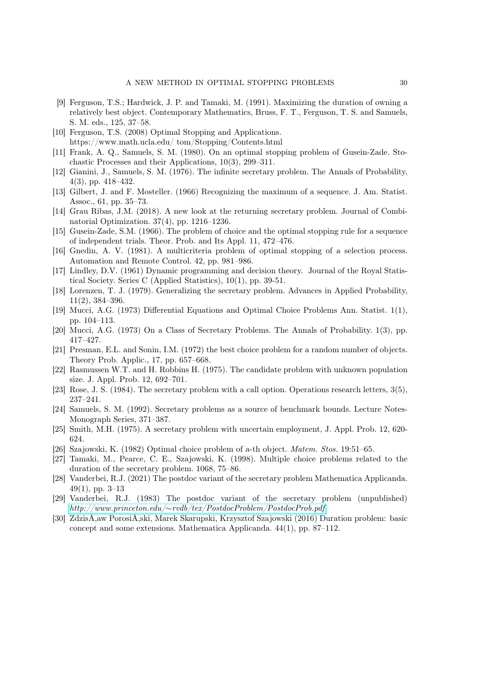- <span id="page-29-15"></span>[9] Ferguson, T.S.; Hardwick, J. P. and Tamaki, M. (1991). Maximizing the duration of owning a relatively best object. Contemporary Mathematics, Bruss, F. T., Ferguson, T. S. and Samuels, S. M. eds., 125, 37–58.
- <span id="page-29-14"></span>[10] Ferguson, T.S. (2008) Optimal Stopping and Applications. https://www.math.ucla.edu/ tom/Stopping/Contents.html
- <span id="page-29-3"></span>[11] Frank, A. Q., Samuels, S. M. (1980). On an optimal stopping problem of Gusein-Zade. Stochastic Processes and their Applications, 10(3), 299–311.
- <span id="page-29-4"></span>[12] Gianini, J., Samuels, S. M. (1976). The infinite secretary problem. The Annals of Probability, 4(3), pp. 418–432.
- <span id="page-29-2"></span><span id="page-29-0"></span>[13] Gilbert, J. and F. Mosteller. (1966) Recognizing the maximum of a sequence. J. Am. Statist. Assoc., 61, pp. 35–73.
- [14] Grau Ribas, J.M. (2018). A new look at the returning secretary problem. Journal of Combinatorial Optimization. 37(4), pp. 1216–1236.
- <span id="page-29-21"></span><span id="page-29-16"></span>[15] Gusein-Zade, S.M. (1966). The problem of choice and the optimal stopping rule for a sequence of independent trials. Theor. Prob. and Its Appl. 11, 472–476.
- <span id="page-29-1"></span>[16] Gnedin, A. V. (1981). A multicriteria problem of optimal stopping of a selection process. Automation and Remote Control. 42, pp. 981–986.
- [17] Lindley, D.V. (1961) Dynamic programming and decision theory. Journal of the Royal Statistical Society. Series C (Applied Statistics), 10(1), pp. 39-51.
- <span id="page-29-5"></span>[18] Lorenzen, T. J. (1979). Generalizing the secretary problem. Advances in Applied Probability, 11(2), 384–396.
- <span id="page-29-6"></span>[19] Mucci, A.G. (1973) Differential Equations and Optimal Choice Problems Ann. Statist. 1(1), pp. 104–113.
- <span id="page-29-17"></span><span id="page-29-7"></span>[20] Mucci, A.G. (1973) On a Class of Secretary Problems. The Annals of Probability. 1(3), pp. 417–427.
- [21] Presman, E.L. and Sonin, I.M. (1972) the best choice problem for a random number of objects. Theory Prob. Applic., 17, pp. 657–668.
- <span id="page-29-18"></span>[22] Rasmussen W.T. and H. Robbins H. (1975). The candidate problem with unknown population size. J. Appl. Prob. 12, 692–701.
- <span id="page-29-19"></span><span id="page-29-8"></span>[23] Rose, J. S. (1984). The secretary problem with a call option. Operations research letters, 3(5), 237–241.
- [24] Samuels, S. M. (1992). Secretary problems as a source of benchmark bounds. Lecture Notes-Monograph Series, 371–387.
- <span id="page-29-13"></span><span id="page-29-10"></span>[25] Smith, M.H. (1975). A secretary problem with uncertain employment, J. Appl. Prob. 12, 620- 624.
- <span id="page-29-9"></span>[26] Szajowski, K. (1982) Optimal choice problem of a-th object. *Matem. Stos.* 19:51–65.
- [27] Tamaki, M., Pearce, C. E., Szajowski, K. (1998). Multiple choice problems related to the duration of the secretary problem. 1068, 75–86.
- <span id="page-29-11"></span>[28] Vanderbei, R.J. (2021) The postdoc variant of the secretary problem Mathematica Applicanda. 49(1), pp. 3–13
- <span id="page-29-12"></span>[29] Vanderbei, R.J. (1983) The postdoc variant of the secretary problem (unpublished) *http://www.princeton.edu/*∼*[rvdb/tex/PostdocProblem/PostdocProb.pdf](http://www.princeton.edu/~rvdb/tex/PostdocProblem/PostdocProb.pdf)*.
- <span id="page-29-20"></span>[30] ZdzisÅ,aw PorosiÅ,ski, Marek Skarupski, Krzysztof Szajowski (2016) Duration problem: basic concept and some extensions. Mathematica Applicanda. 44(1), pp. 87–112.